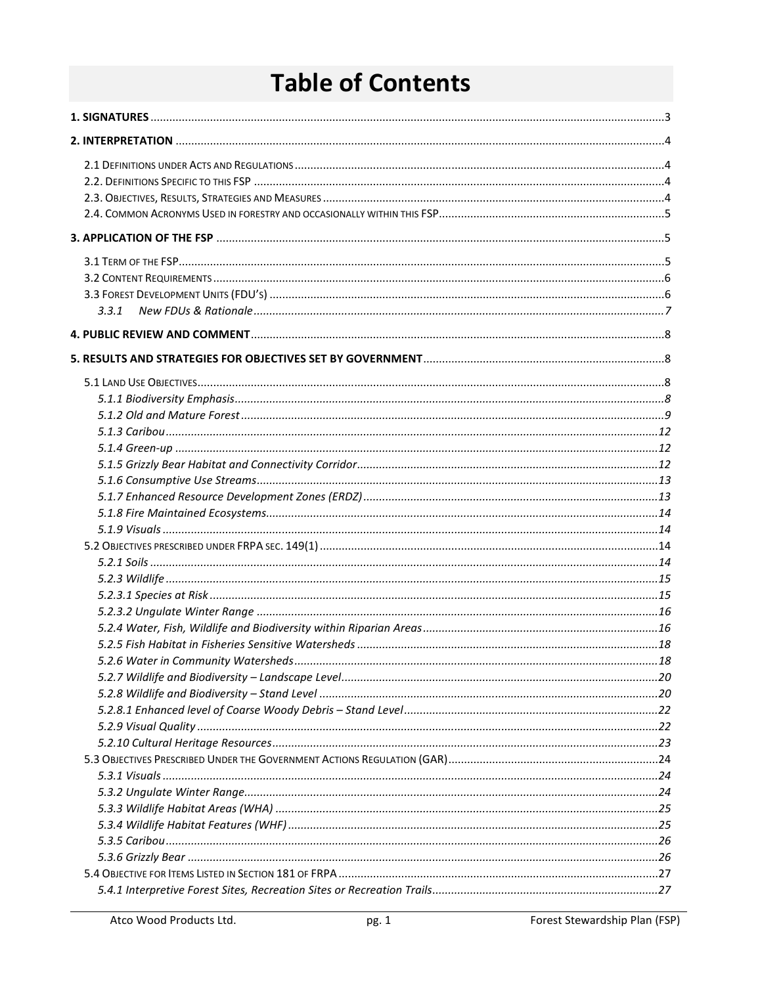# **Table of Contents**

| 3.3.1 |  |
|-------|--|
|       |  |
|       |  |
|       |  |
|       |  |
|       |  |
|       |  |
|       |  |
|       |  |
|       |  |
|       |  |
|       |  |
|       |  |
|       |  |
|       |  |
|       |  |
|       |  |
|       |  |
|       |  |
|       |  |
|       |  |
|       |  |
|       |  |
|       |  |
|       |  |
|       |  |
|       |  |
|       |  |
|       |  |
|       |  |
|       |  |
|       |  |
|       |  |
|       |  |
|       |  |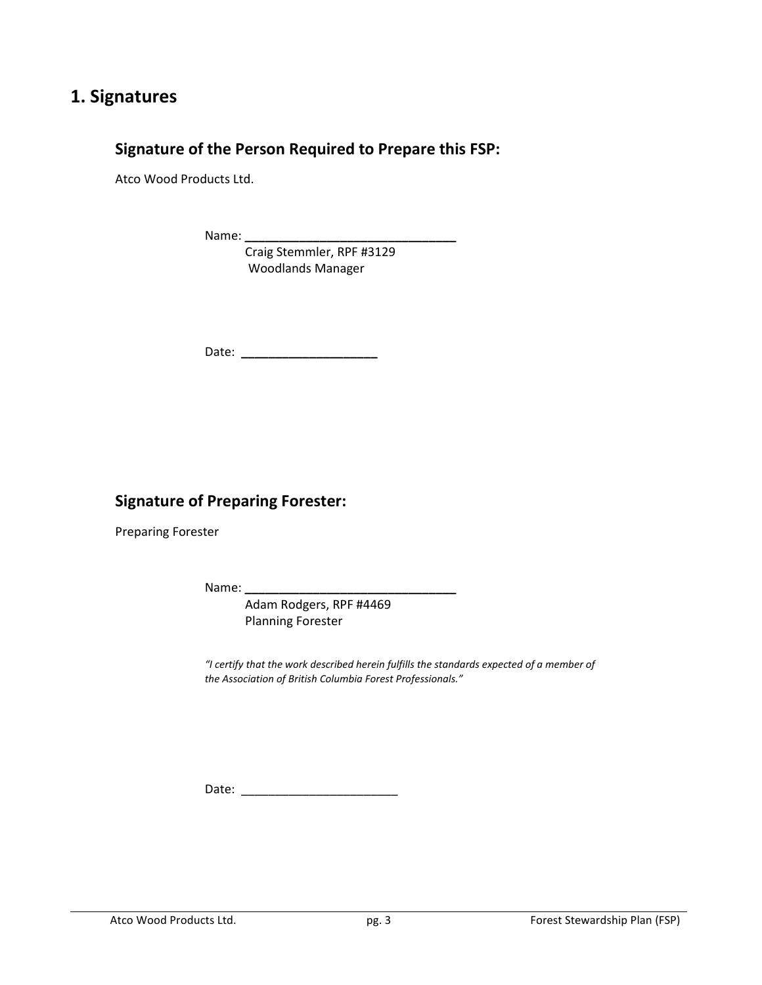## **1. Signatures**

## **Signature of the Person Required to Prepare this FSP:**

Atco Wood Products Ltd.

Name:

 Craig Stemmler, RPF #3129 Woodlands Manager

Date: **\_\_\_\_\_\_\_\_\_\_\_\_\_\_\_\_\_\_\_\_**

## **Signature of Preparing Forester:**

Preparing Forester

Name: **\_\_\_\_\_\_\_\_\_\_\_\_\_\_\_\_\_\_\_\_\_\_\_\_\_\_\_\_\_\_\_**

 Adam Rodgers, RPF #4469 Planning Forester

 *"I certify that the work described herein fulfills the standards expected of a member of the Association of British Columbia Forest Professionals."* 

Date: \_\_\_\_\_\_\_\_\_\_\_\_\_\_\_\_\_\_\_\_\_\_\_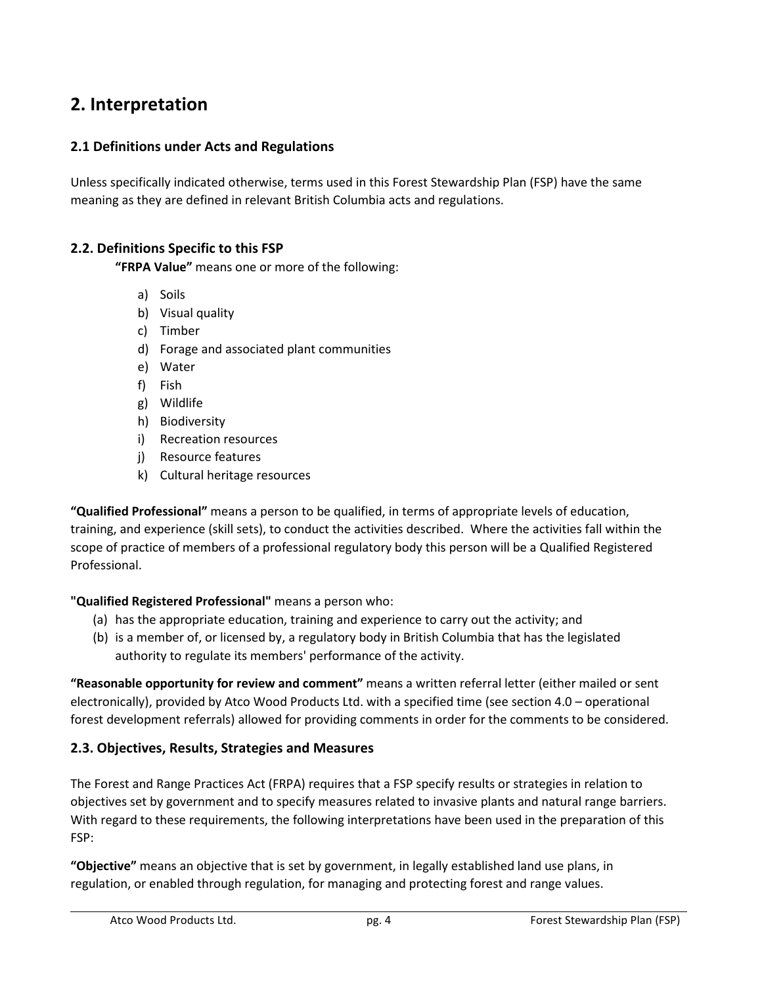## **2. Interpretation**

## **2.1 Definitions under Acts and Regulations**

Unless specifically indicated otherwise, terms used in this Forest Stewardship Plan (FSP) have the same meaning as they are defined in relevant British Columbia acts and regulations.

## **2.2. Definitions Specific to this FSP**

**"FRPA Value"** means one or more of the following:

- a) Soils
- b) Visual quality
- c) Timber
- d) Forage and associated plant communities
- e) Water
- f) Fish
- g) Wildlife
- h) Biodiversity
- i) Recreation resources
- j) Resource features
- k) Cultural heritage resources

**"Qualified Professional"** means a person to be qualified, in terms of appropriate levels of education, training, and experience (skill sets), to conduct the activities described. Where the activities fall within the scope of practice of members of a professional regulatory body this person will be a Qualified Registered Professional.

## **"Qualified Registered Professional"** means a person who:

- (a) has the appropriate education, training and experience to carry out the activity; and
- (b) is a member of, or licensed by, a regulatory body in British Columbia that has the legislated authority to regulate its members' performance of the activity.

**"Reasonable opportunity for review and comment"** means a written referral letter (either mailed or sent electronically), provided by Atco Wood Products Ltd. with a specified time (see section 4.0 – operational forest development referrals) allowed for providing comments in order for the comments to be considered.

## **2.3. Objectives, Results, Strategies and Measures**

The Forest and Range Practices Act (FRPA) requires that a FSP specify results or strategies in relation to objectives set by government and to specify measures related to invasive plants and natural range barriers. With regard to these requirements, the following interpretations have been used in the preparation of this FSP:

**"Objective"** means an objective that is set by government, in legally established land use plans, in regulation, or enabled through regulation, for managing and protecting forest and range values.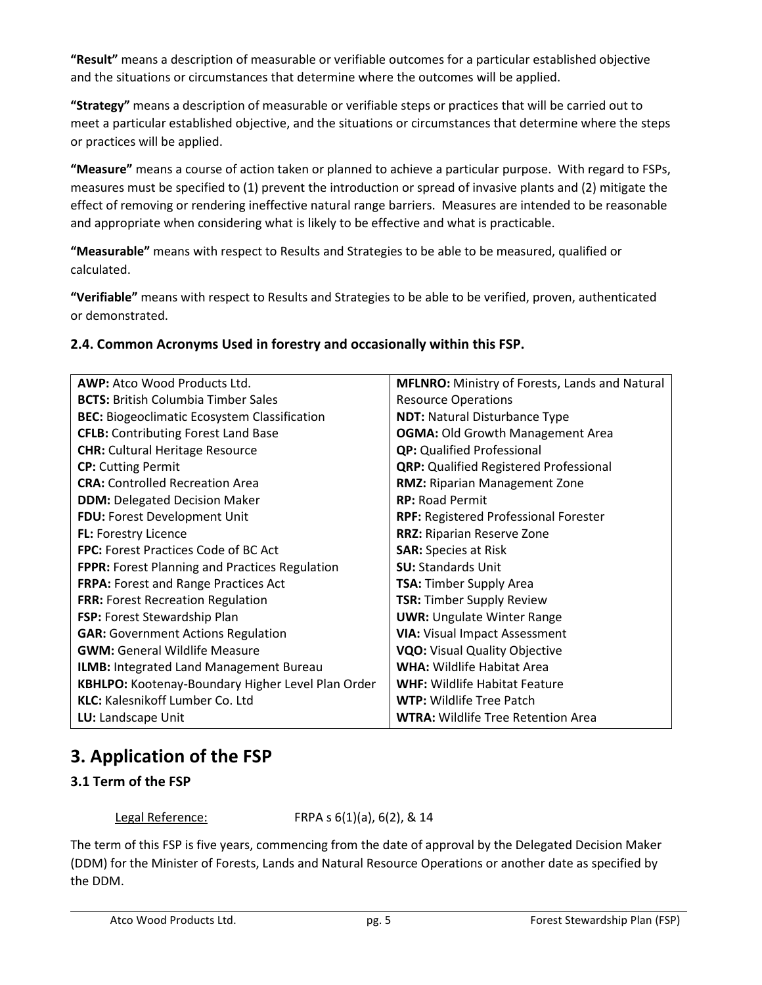**"Result"** means a description of measurable or verifiable outcomes for a particular established objective and the situations or circumstances that determine where the outcomes will be applied.

**"Strategy"** means a description of measurable or verifiable steps or practices that will be carried out to meet a particular established objective, and the situations or circumstances that determine where the steps or practices will be applied.

**"Measure"** means a course of action taken or planned to achieve a particular purpose. With regard to FSPs, measures must be specified to (1) prevent the introduction or spread of invasive plants and (2) mitigate the effect of removing or rendering ineffective natural range barriers. Measures are intended to be reasonable and appropriate when considering what is likely to be effective and what is practicable.

**"Measurable"** means with respect to Results and Strategies to be able to be measured, qualified or calculated.

**"Verifiable"** means with respect to Results and Strategies to be able to be verified, proven, authenticated or demonstrated.

## **2.4. Common Acronyms Used in forestry and occasionally within this FSP.**

| <b>AWP:</b> Atco Wood Products Ltd.                   | MFLNRO: Ministry of Forests, Lands and Natural |
|-------------------------------------------------------|------------------------------------------------|
| <b>BCTS:</b> British Columbia Timber Sales            | <b>Resource Operations</b>                     |
| <b>BEC:</b> Biogeoclimatic Ecosystem Classification   | <b>NDT:</b> Natural Disturbance Type           |
| <b>CFLB:</b> Contributing Forest Land Base            | <b>OGMA: Old Growth Management Area</b>        |
| <b>CHR:</b> Cultural Heritage Resource                | <b>QP:</b> Qualified Professional              |
| <b>CP:</b> Cutting Permit                             | <b>QRP:</b> Qualified Registered Professional  |
| <b>CRA:</b> Controlled Recreation Area                | <b>RMZ: Riparian Management Zone</b>           |
| <b>DDM: Delegated Decision Maker</b>                  | <b>RP: Road Permit</b>                         |
| FDU: Forest Development Unit                          | <b>RPF: Registered Professional Forester</b>   |
| FL: Forestry Licence                                  | <b>RRZ: Riparian Reserve Zone</b>              |
| <b>FPC:</b> Forest Practices Code of BC Act           | <b>SAR: Species at Risk</b>                    |
| <b>FPPR:</b> Forest Planning and Practices Regulation | <b>SU: Standards Unit</b>                      |
| FRPA: Forest and Range Practices Act                  | <b>TSA:</b> Timber Supply Area                 |
| <b>FRR: Forest Recreation Regulation</b>              | <b>TSR: Timber Supply Review</b>               |
| <b>FSP:</b> Forest Stewardship Plan                   | <b>UWR: Ungulate Winter Range</b>              |
| <b>GAR: Government Actions Regulation</b>             | <b>VIA: Visual Impact Assessment</b>           |
| <b>GWM:</b> General Wildlife Measure                  | <b>VQO:</b> Visual Quality Objective           |
| ILMB: Integrated Land Management Bureau               | <b>WHA: Wildlife Habitat Area</b>              |
| KBHLPO: Kootenay-Boundary Higher Level Plan Order     | <b>WHF: Wildlife Habitat Feature</b>           |
| <b>KLC:</b> Kalesnikoff Lumber Co. Ltd                | <b>WTP:</b> Wildlife Tree Patch                |
| LU: Landscape Unit                                    | <b>WTRA: Wildlife Tree Retention Area</b>      |

## **3. Application of the FSP**

## **3.1 Term of the FSP**

Legal Reference: FRPA s 6(1)(a), 6(2), & 14

The term of this FSP is five years, commencing from the date of approval by the Delegated Decision Maker (DDM) for the Minister of Forests, Lands and Natural Resource Operations or another date as specified by the DDM.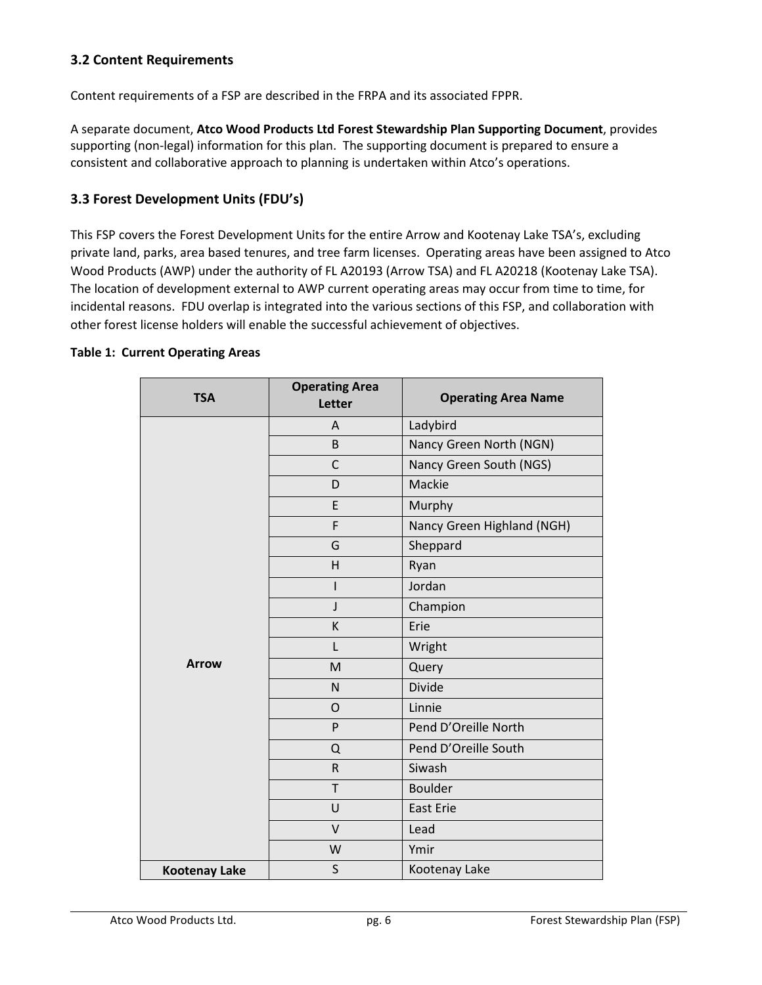## **3.2 Content Requirements**

Content requirements of a FSP are described in the FRPA and its associated FPPR.

A separate document, **Atco Wood Products Ltd Forest Stewardship Plan Supporting Document**, provides supporting (non-legal) information for this plan. The supporting document is prepared to ensure a consistent and collaborative approach to planning is undertaken within Atco's operations.

### **3.3 Forest Development Units (FDU's)**

This FSP covers the Forest Development Units for the entire Arrow and Kootenay Lake TSA's, excluding private land, parks, area based tenures, and tree farm licenses. Operating areas have been assigned to Atco Wood Products (AWP) under the authority of FL A20193 (Arrow TSA) and FL A20218 (Kootenay Lake TSA). The location of development external to AWP current operating areas may occur from time to time, for incidental reasons. FDU overlap is integrated into the various sections of this FSP, and collaboration with other forest license holders will enable the successful achievement of objectives.

#### **Table 1: Current Operating Areas**

| <b>TSA</b>           | <b>Operating Area</b><br>Letter | <b>Operating Area Name</b> |
|----------------------|---------------------------------|----------------------------|
|                      | A                               | Ladybird                   |
|                      | B                               | Nancy Green North (NGN)    |
|                      | $\mathsf{C}$                    | Nancy Green South (NGS)    |
|                      | D                               | Mackie                     |
|                      | E                               | Murphy                     |
|                      | F                               | Nancy Green Highland (NGH) |
|                      | G                               | Sheppard                   |
|                      | H                               | Ryan                       |
|                      | I                               | Jordan                     |
|                      | J                               | Champion                   |
|                      | К                               | Erie                       |
|                      | L                               | Wright                     |
| <b>Arrow</b>         | M                               | Query                      |
|                      | N                               | <b>Divide</b>              |
|                      | O                               | Linnie                     |
|                      | P                               | Pend D'Oreille North       |
|                      | Q                               | Pend D'Oreille South       |
|                      | $\mathsf R$                     | Siwash                     |
|                      | T                               | <b>Boulder</b>             |
|                      | U                               | <b>East Erie</b>           |
|                      | $\vee$                          | Lead                       |
|                      | W                               | Ymir                       |
| <b>Kootenay Lake</b> | $\sf S$                         | Kootenay Lake              |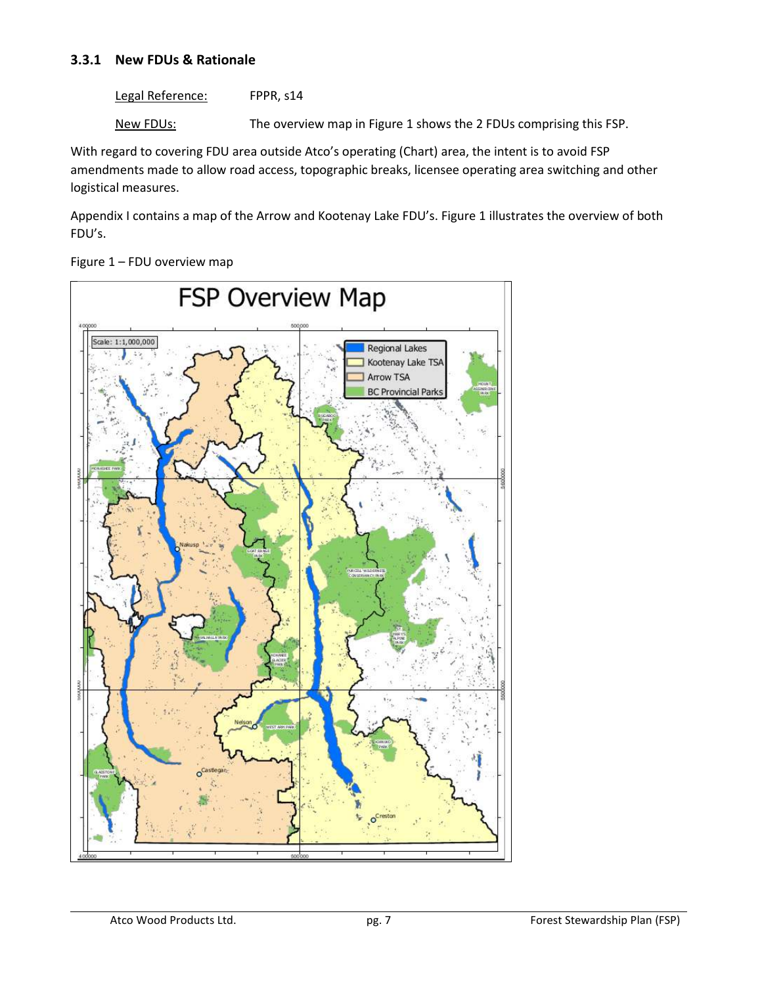### **3.3.1 New FDUs & Rationale**

Legal Reference: FPPR, s14

New FDUs: The overview map in Figure 1 shows the 2 FDUs comprising this FSP.

With regard to covering FDU area outside Atco's operating (Chart) area, the intent is to avoid FSP amendments made to allow road access, topographic breaks, licensee operating area switching and other logistical measures.

Appendix I contains a map of the Arrow and Kootenay Lake FDU's. Figure 1 illustrates the overview of both FDU's.

Figure 1 – FDU overview map

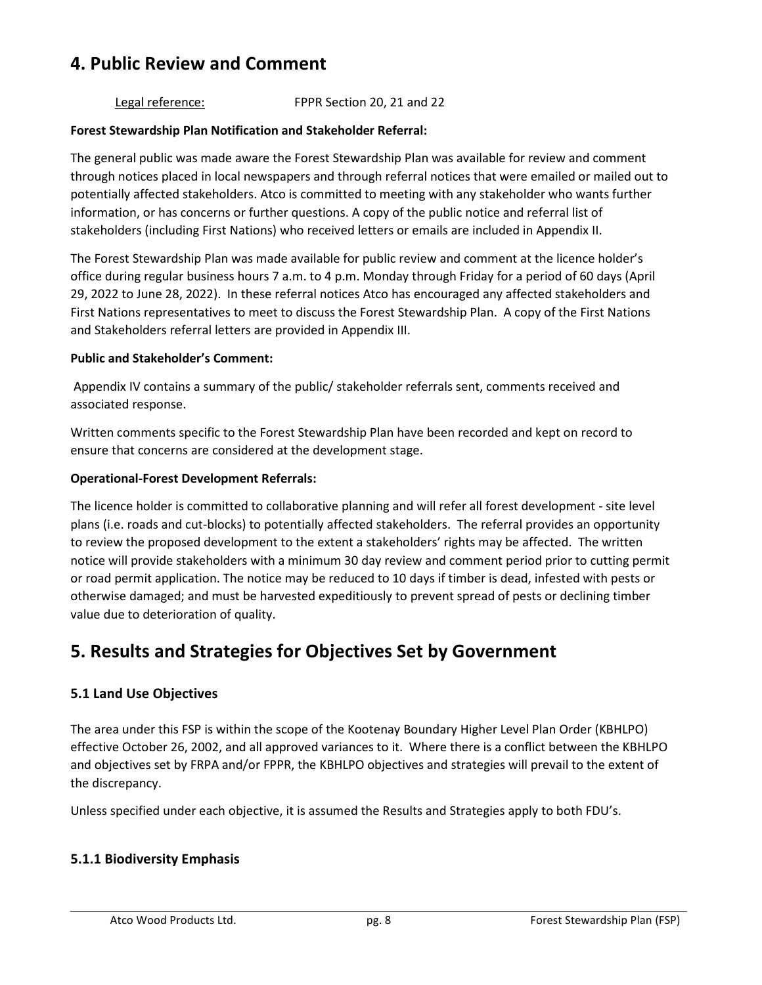## **4. Public Review and Comment**

### Legal reference: FPPR Section 20, 21 and 22

### **Forest Stewardship Plan Notification and Stakeholder Referral:**

The general public was made aware the Forest Stewardship Plan was available for review and comment through notices placed in local newspapers and through referral notices that were emailed or mailed out to potentially affected stakeholders. Atco is committed to meeting with any stakeholder who wants further information, or has concerns or further questions. A copy of the public notice and referral list of stakeholders (including First Nations) who received letters or emails are included in Appendix II.

The Forest Stewardship Plan was made available for public review and comment at the licence holder's office during regular business hours 7 a.m. to 4 p.m. Monday through Friday for a period of 60 days (April 29, 2022 to June 28, 2022). In these referral notices Atco has encouraged any affected stakeholders and First Nations representatives to meet to discuss the Forest Stewardship Plan. A copy of the First Nations and Stakeholders referral letters are provided in Appendix III.

#### **Public and Stakeholder's Comment:**

 Appendix IV contains a summary of the public/ stakeholder referrals sent, comments received and associated response.

Written comments specific to the Forest Stewardship Plan have been recorded and kept on record to ensure that concerns are considered at the development stage.

#### **Operational-Forest Development Referrals:**

The licence holder is committed to collaborative planning and will refer all forest development - site level plans (i.e. roads and cut-blocks) to potentially affected stakeholders. The referral provides an opportunity to review the proposed development to the extent a stakeholders' rights may be affected. The written notice will provide stakeholders with a minimum 30 day review and comment period prior to cutting permit or road permit application. The notice may be reduced to 10 days if timber is dead, infested with pests or otherwise damaged; and must be harvested expeditiously to prevent spread of pests or declining timber value due to deterioration of quality.

## **5. Results and Strategies for Objectives Set by Government**

### **5.1 Land Use Objectives**

The area under this FSP is within the scope of the Kootenay Boundary Higher Level Plan Order (KBHLPO) effective October 26, 2002, and all approved variances to it. Where there is a conflict between the KBHLPO and objectives set by FRPA and/or FPPR, the KBHLPO objectives and strategies will prevail to the extent of the discrepancy.

Unless specified under each objective, it is assumed the Results and Strategies apply to both FDU's.

### **5.1.1 Biodiversity Emphasis**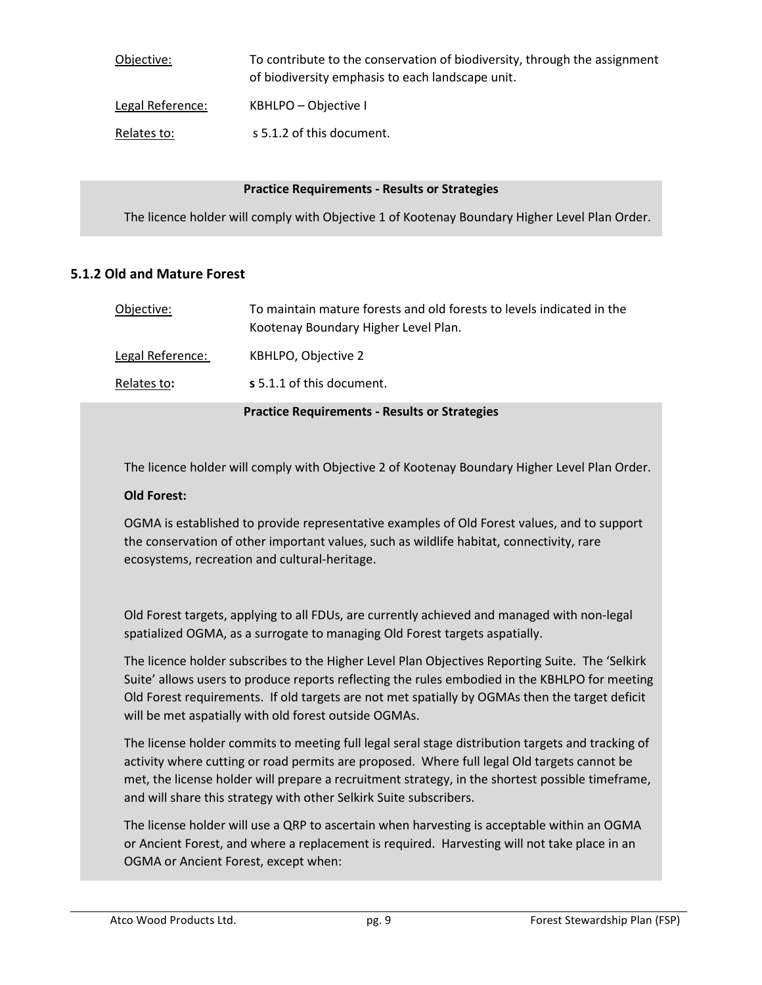| Objective:       | To contribute to the conservation of biodiversity, through the assignment<br>of biodiversity emphasis to each landscape unit. |
|------------------|-------------------------------------------------------------------------------------------------------------------------------|
| Legal Reference: | KBHLPO – Objective I                                                                                                          |
| Relates to:      | s 5.1.2 of this document.                                                                                                     |

#### **Practice Requirements - Results or Strategies**

The licence holder will comply with Objective 1 of Kootenay Boundary Higher Level Plan Order.

### **5.1.2 Old and Mature Forest**

| Objective:       | To maintain mature forests and old forests to levels indicated in the<br>Kootenay Boundary Higher Level Plan. |
|------------------|---------------------------------------------------------------------------------------------------------------|
| Legal Reference: | KBHLPO, Objective 2                                                                                           |
| Relates to:      | s 5.1.1 of this document.                                                                                     |
|                  | <b>Practice Requirements - Results or Strategies</b>                                                          |

The licence holder will comply with Objective 2 of Kootenay Boundary Higher Level Plan Order.

#### **Old Forest:**

OGMA is established to provide representative examples of Old Forest values, and to support the conservation of other important values, such as wildlife habitat, connectivity, rare ecosystems, recreation and cultural-heritage.

Old Forest targets, applying to all FDUs, are currently achieved and managed with non-legal spatialized OGMA, as a surrogate to managing Old Forest targets aspatially.

The licence holder subscribes to the Higher Level Plan Objectives Reporting Suite. The 'Selkirk Suite' allows users to produce reports reflecting the rules embodied in the KBHLPO for meeting Old Forest requirements. If old targets are not met spatially by OGMAs then the target deficit will be met aspatially with old forest outside OGMAs.

The license holder commits to meeting full legal seral stage distribution targets and tracking of activity where cutting or road permits are proposed. Where full legal Old targets cannot be met, the license holder will prepare a recruitment strategy, in the shortest possible timeframe, and will share this strategy with other Selkirk Suite subscribers.

The license holder will use a QRP to ascertain when harvesting is acceptable within an OGMA or Ancient Forest, and where a replacement is required. Harvesting will not take place in an OGMA or Ancient Forest, except when: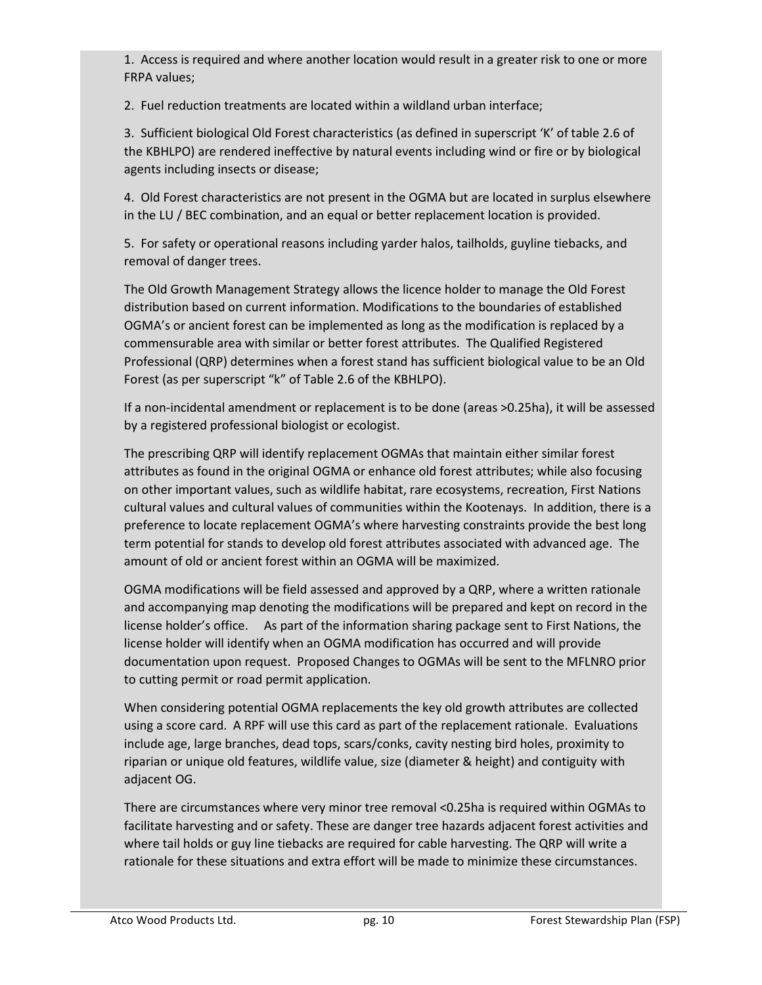1. Access is required and where another location would result in a greater risk to one or more FRPA values;

2. Fuel reduction treatments are located within a wildland urban interface;

3. Sufficient biological Old Forest characteristics (as defined in superscript 'K' of table 2.6 of the KBHLPO) are rendered ineffective by natural events including wind or fire or by biological agents including insects or disease;

4. Old Forest characteristics are not present in the OGMA but are located in surplus elsewhere in the LU / BEC combination, and an equal or better replacement location is provided.

5. For safety or operational reasons including yarder halos, tailholds, guyline tiebacks, and removal of danger trees.

The Old Growth Management Strategy allows the licence holder to manage the Old Forest distribution based on current information. Modifications to the boundaries of established OGMA's or ancient forest can be implemented as long as the modification is replaced by a commensurable area with similar or better forest attributes. The Qualified Registered Professional (QRP) determines when a forest stand has sufficient biological value to be an Old Forest (as per superscript "k" of Table 2.6 of the KBHLPO).

If a non-incidental amendment or replacement is to be done (areas >0.25ha), it will be assessed by a registered professional biologist or ecologist.

The prescribing QRP will identify replacement OGMAs that maintain either similar forest attributes as found in the original OGMA or enhance old forest attributes; while also focusing on other important values, such as wildlife habitat, rare ecosystems, recreation, First Nations cultural values and cultural values of communities within the Kootenays. In addition, there is a preference to locate replacement OGMA's where harvesting constraints provide the best long term potential for stands to develop old forest attributes associated with advanced age. The amount of old or ancient forest within an OGMA will be maximized.

OGMA modifications will be field assessed and approved by a QRP, where a written rationale and accompanying map denoting the modifications will be prepared and kept on record in the license holder's office. As part of the information sharing package sent to First Nations, the license holder will identify when an OGMA modification has occurred and will provide documentation upon request. Proposed Changes to OGMAs will be sent to the MFLNRO prior to cutting permit or road permit application.

When considering potential OGMA replacements the key old growth attributes are collected using a score card. A RPF will use this card as part of the replacement rationale. Evaluations include age, large branches, dead tops, scars/conks, cavity nesting bird holes, proximity to riparian or unique old features, wildlife value, size (diameter & height) and contiguity with adjacent OG.

There are circumstances where very minor tree removal <0.25ha is required within OGMAs to facilitate harvesting and or safety. These are danger tree hazards adjacent forest activities and where tail holds or guy line tiebacks are required for cable harvesting. The QRP will write a rationale for these situations and extra effort will be made to minimize these circumstances.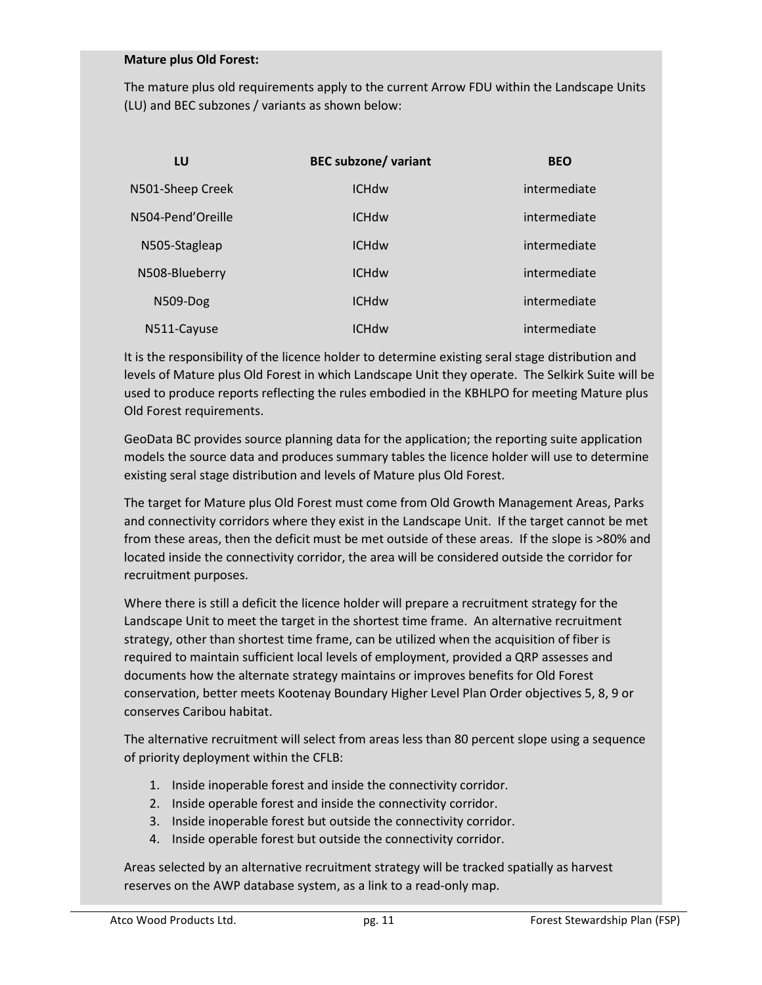#### **Mature plus Old Forest:**

The mature plus old requirements apply to the current Arrow FDU within the Landscape Units (LU) and BEC subzones / variants as shown below:

| LU                | <b>BEC subzone/ variant</b> | <b>BEO</b>   |
|-------------------|-----------------------------|--------------|
| N501-Sheep Creek  | <b>ICHdw</b>                | intermediate |
| N504-Pend'Oreille | <b>ICHdw</b>                | intermediate |
| N505-Stagleap     | <b>ICHdw</b>                | intermediate |
| N508-Blueberry    | <b>ICHdw</b>                | intermediate |
| <b>N509-Dog</b>   | <b>ICHdw</b>                | intermediate |
| N511-Cayuse       | <b>ICHdw</b>                | intermediate |

It is the responsibility of the licence holder to determine existing seral stage distribution and levels of Mature plus Old Forest in which Landscape Unit they operate. The Selkirk Suite will be used to produce reports reflecting the rules embodied in the KBHLPO for meeting Mature plus Old Forest requirements.

GeoData BC provides source planning data for the application; the reporting suite application models the source data and produces summary tables the licence holder will use to determine existing seral stage distribution and levels of Mature plus Old Forest.

The target for Mature plus Old Forest must come from Old Growth Management Areas, Parks and connectivity corridors where they exist in the Landscape Unit. If the target cannot be met from these areas, then the deficit must be met outside of these areas. If the slope is >80% and located inside the connectivity corridor, the area will be considered outside the corridor for recruitment purposes.

Where there is still a deficit the licence holder will prepare a recruitment strategy for the Landscape Unit to meet the target in the shortest time frame. An alternative recruitment strategy, other than shortest time frame, can be utilized when the acquisition of fiber is required to maintain sufficient local levels of employment, provided a QRP assesses and documents how the alternate strategy maintains or improves benefits for Old Forest conservation, better meets Kootenay Boundary Higher Level Plan Order objectives 5, 8, 9 or conserves Caribou habitat.

The alternative recruitment will select from areas less than 80 percent slope using a sequence of priority deployment within the CFLB:

- 1. Inside inoperable forest and inside the connectivity corridor.
- 2. Inside operable forest and inside the connectivity corridor.
- 3. Inside inoperable forest but outside the connectivity corridor.
- 4. Inside operable forest but outside the connectivity corridor.

Areas selected by an alternative recruitment strategy will be tracked spatially as harvest reserves on the AWP database system, as a link to a read-only map.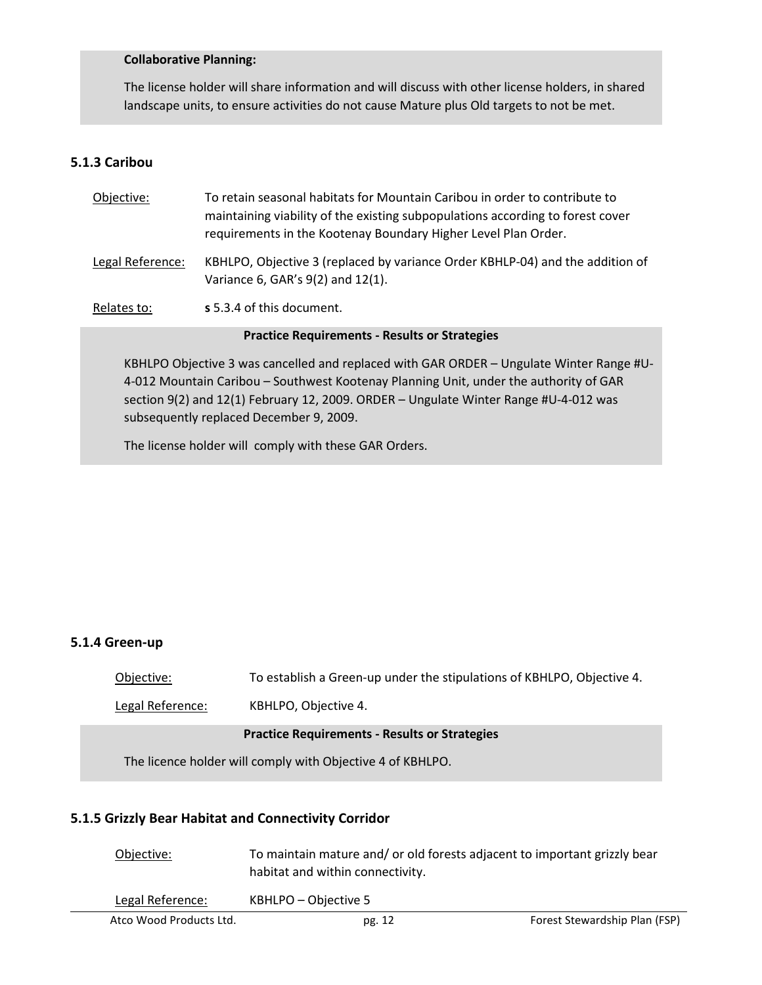#### **Collaborative Planning:**

The license holder will share information and will discuss with other license holders, in shared landscape units, to ensure activities do not cause Mature plus Old targets to not be met.

### **5.1.3 Caribou**

| Objective:                                           | To retain seasonal habitats for Mountain Caribou in order to contribute to<br>maintaining viability of the existing subpopulations according to forest cover<br>requirements in the Kootenay Boundary Higher Level Plan Order.                                            |  |
|------------------------------------------------------|---------------------------------------------------------------------------------------------------------------------------------------------------------------------------------------------------------------------------------------------------------------------------|--|
| Legal Reference:                                     | KBHLPO, Objective 3 (replaced by variance Order KBHLP-04) and the addition of<br>Variance 6, GAR's 9(2) and 12(1).                                                                                                                                                        |  |
| Relates to:                                          | s 5.3.4 of this document.                                                                                                                                                                                                                                                 |  |
| <b>Practice Requirements - Results or Strategies</b> |                                                                                                                                                                                                                                                                           |  |
|                                                      | KBHLPO Objective 3 was cancelled and replaced with GAR ORDER - Ungulate Winter Range #U-<br>4-012 Mountain Caribou - Southwest Kootenay Planning Unit, under the authority of GAR<br>section 9(2) and 12(1) February 12, 2009. ORDER - Ungulate Winter Range #U-4-012 was |  |

The license holder will comply with these GAR Orders.

subsequently replaced December 9, 2009.

### **5.1.4 Green-up**

Objective:To establish a Green-up under the stipulations of KBHLPO, Objective 4.

Legal Reference:KBHLPO, Objective 4.

#### **Practice Requirements - Results or Strategies**

The licence holder will comply with Objective 4 of KBHLPO.

### **5.1.5 Grizzly Bear Habitat and Connectivity Corridor**

| Objective:              | To maintain mature and/ or old forests adjacent to important grizzly bear<br>habitat and within connectivity. |                               |
|-------------------------|---------------------------------------------------------------------------------------------------------------|-------------------------------|
| Legal Reference:        | KBHLPO – Objective 5                                                                                          |                               |
| Atco Wood Products Ltd. | pg. 12                                                                                                        | Forest Stewardship Plan (FSP) |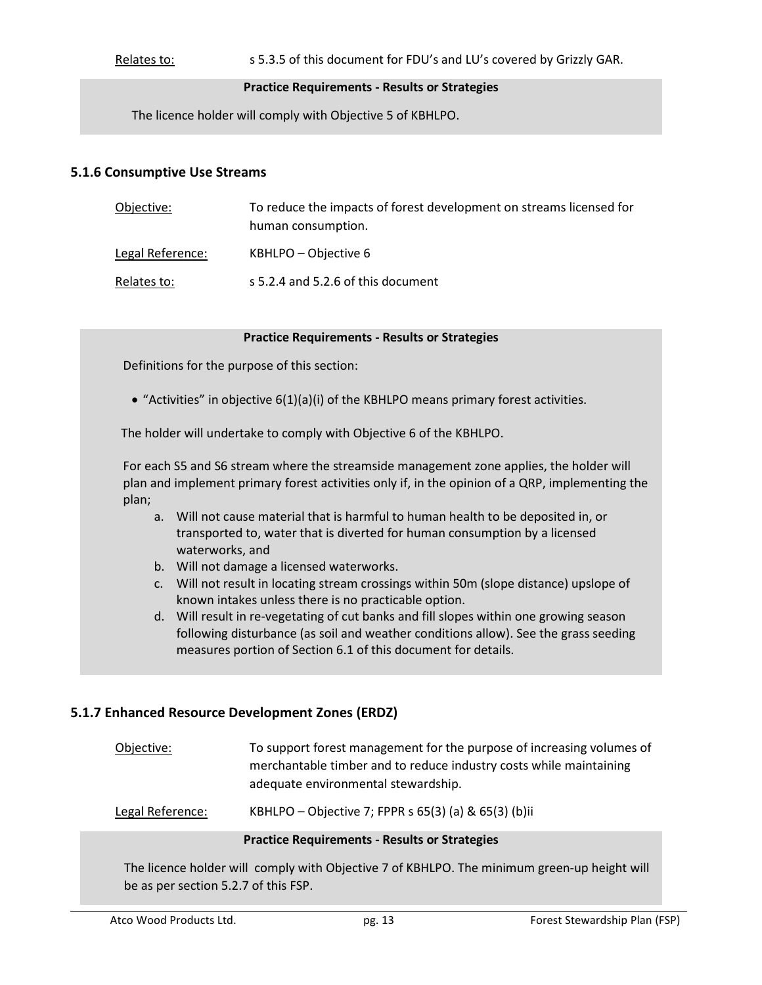Relates to: s 5.3.5 of this document for FDU's and LU's covered by Grizzly GAR.

#### **Practice Requirements - Results or Strategies**

The licence holder will comply with Objective 5 of KBHLPO.

#### **5.1.6 Consumptive Use Streams**

| Objective:       | To reduce the impacts of forest development on streams licensed for<br>human consumption. |
|------------------|-------------------------------------------------------------------------------------------|
| Legal Reference: | KBHLPO – Objective 6                                                                      |
| Relates to:      | s 5.2.4 and 5.2.6 of this document                                                        |

#### **Practice Requirements - Results or Strategies**

Definitions for the purpose of this section:

 $\bullet$  "Activities" in objective  $6(1)(a)(i)$  of the KBHLPO means primary forest activities.

The holder will undertake to comply with Objective 6 of the KBHLPO.

For each S5 and S6 stream where the streamside management zone applies, the holder will plan and implement primary forest activities only if, in the opinion of a QRP, implementing the plan;

- a. Will not cause material that is harmful to human health to be deposited in, or transported to, water that is diverted for human consumption by a licensed waterworks, and
- b. Will not damage a licensed waterworks.
- c. Will not result in locating stream crossings within 50m (slope distance) upslope of known intakes unless there is no practicable option.
- d. Will result in re-vegetating of cut banks and fill slopes within one growing season following disturbance (as soil and weather conditions allow). See the grass seeding measures portion of Section 6.1 of this document for details.

### **5.1.7 Enhanced Resource Development Zones (ERDZ)**

Objective:To support forest management for the purpose of increasing volumes of merchantable timber and to reduce industry costs while maintaining adequate environmental stewardship.

Legal Reference:KBHLPO – Objective 7; FPPR s 65(3) (a) & 65(3) (b)ii

#### **Practice Requirements - Results or Strategies**

The licence holder will comply with Objective 7 of KBHLPO. The minimum green-up height will be as per section 5.2.7 of this FSP.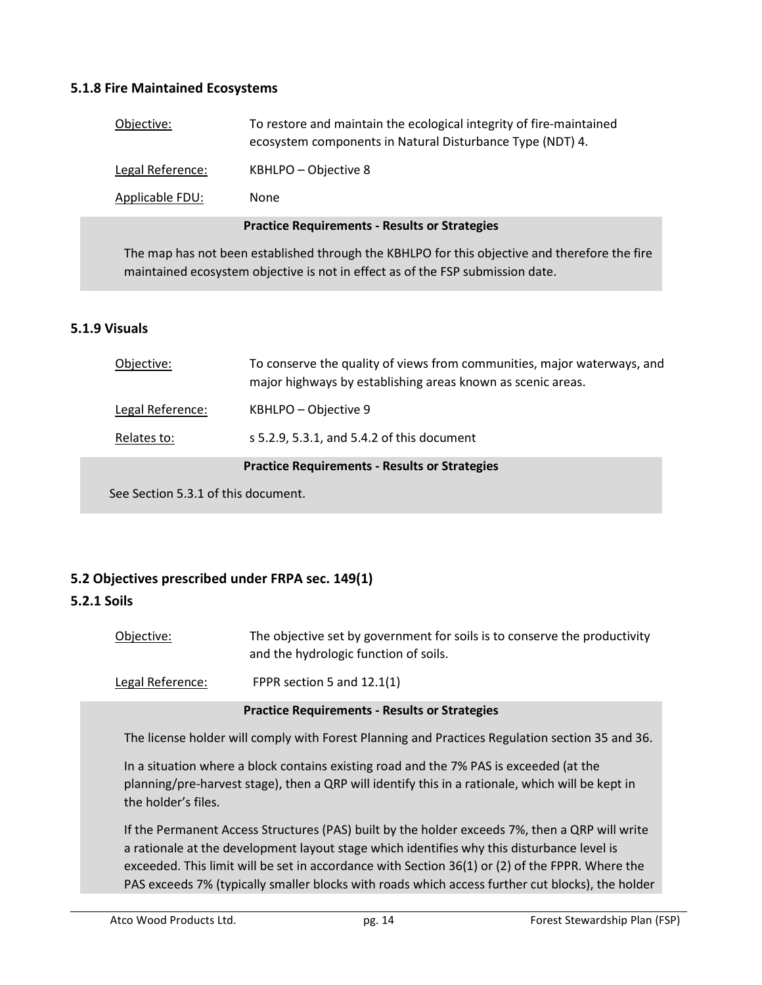### **5.1.8 Fire Maintained Ecosystems**

| Objective:                                                                                                                                                                      | To restore and maintain the ecological integrity of fire-maintained<br>ecosystem components in Natural Disturbance Type (NDT) 4. |  |
|---------------------------------------------------------------------------------------------------------------------------------------------------------------------------------|----------------------------------------------------------------------------------------------------------------------------------|--|
| Legal Reference:                                                                                                                                                                | KBHLPO - Objective 8                                                                                                             |  |
| Applicable FDU:                                                                                                                                                                 | None                                                                                                                             |  |
|                                                                                                                                                                                 | <b>Practice Requirements - Results or Strategies</b>                                                                             |  |
| The map has not been established through the KBHLPO for this objective and therefore the fire<br>maintained ecosystem objective is not in effect as of the FSP submission date. |                                                                                                                                  |  |

### **5.1.9 Visuals**

| To conserve the quality of views from communities, major waterways, and |
|-------------------------------------------------------------------------|
|                                                                         |

## **5.2 Objectives prescribed under FRPA sec. 149(1)**

### **5.2.1 Soils**

Objective: The objective set by government for soils is to conserve the productivity and the hydrologic function of soils.

Legal Reference: FPPR section 5 and 12.1(1)

#### **Practice Requirements - Results or Strategies**

The license holder will comply with Forest Planning and Practices Regulation section 35 and 36.

In a situation where a block contains existing road and the 7% PAS is exceeded (at the planning/pre-harvest stage), then a QRP will identify this in a rationale, which will be kept in the holder's files.

If the Permanent Access Structures (PAS) built by the holder exceeds 7%, then a QRP will write a rationale at the development layout stage which identifies why this disturbance level is exceeded. This limit will be set in accordance with Section 36(1) or (2) of the FPPR. Where the PAS exceeds 7% (typically smaller blocks with roads which access further cut blocks), the holder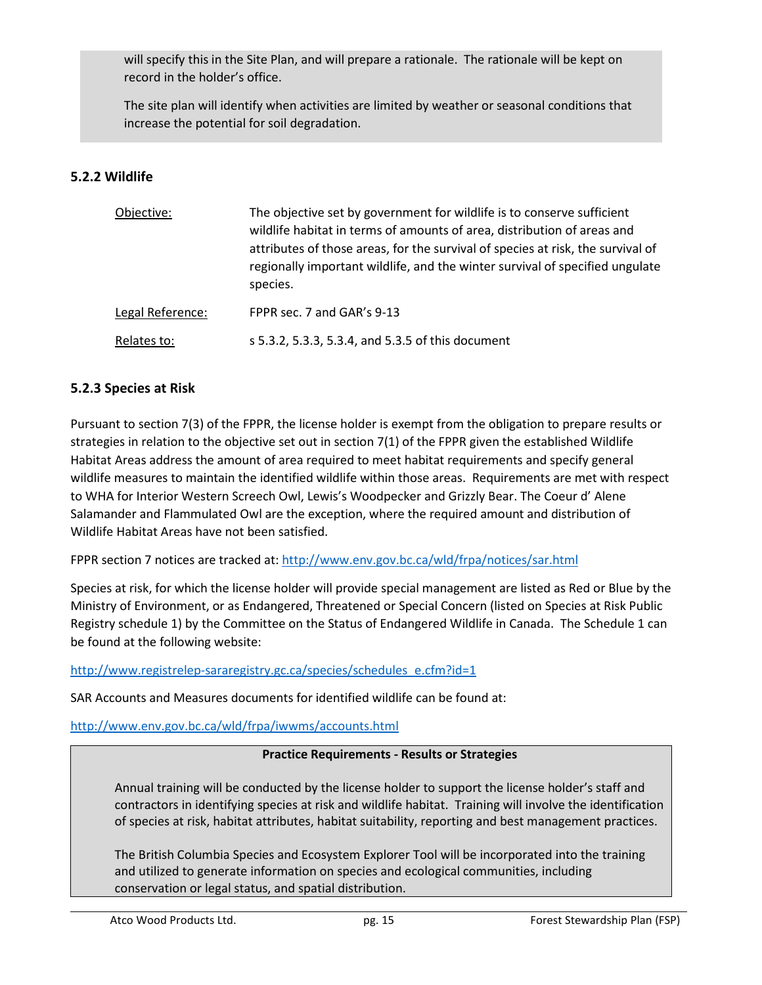will specify this in the Site Plan, and will prepare a rationale. The rationale will be kept on record in the holder's office.

The site plan will identify when activities are limited by weather or seasonal conditions that increase the potential for soil degradation.

## **5.2.2 Wildlife**

| Objective:       | The objective set by government for wildlife is to conserve sufficient<br>wildlife habitat in terms of amounts of area, distribution of areas and<br>attributes of those areas, for the survival of species at risk, the survival of<br>regionally important wildlife, and the winter survival of specified ungulate<br>species. |
|------------------|----------------------------------------------------------------------------------------------------------------------------------------------------------------------------------------------------------------------------------------------------------------------------------------------------------------------------------|
| Legal Reference: | FPPR sec. 7 and GAR's 9-13                                                                                                                                                                                                                                                                                                       |
| Relates to:      | s 5.3.2, 5.3.3, 5.3.4, and 5.3.5 of this document                                                                                                                                                                                                                                                                                |

### **5.2.3 Species at Risk**

Pursuant to section 7(3) of the FPPR, the license holder is exempt from the obligation to prepare results or strategies in relation to the objective set out in section 7(1) of the FPPR given the established Wildlife Habitat Areas address the amount of area required to meet habitat requirements and specify general wildlife measures to maintain the identified wildlife within those areas. Requirements are met with respect to WHA for Interior Western Screech Owl, Lewis's Woodpecker and Grizzly Bear. The Coeur d' Alene Salamander and Flammulated Owl are the exception, where the required amount and distribution of Wildlife Habitat Areas have not been satisfied.

FPPR section 7 notices are tracked at: http://www.env.gov.bc.ca/wld/frpa/notices/sar.html

Species at risk, for which the license holder will provide special management are listed as Red or Blue by the Ministry of Environment, or as Endangered, Threatened or Special Concern (listed on Species at Risk Public Registry schedule 1) by the Committee on the Status of Endangered Wildlife in Canada. The Schedule 1 can be found at the following website:

http://www.registrelep-sararegistry.gc.ca/species/schedules\_e.cfm?id=1

SAR Accounts and Measures documents for identified wildlife can be found at:

http://www.env.gov.bc.ca/wld/frpa/iwwms/accounts.html

#### **Practice Requirements - Results or Strategies**

Annual training will be conducted by the license holder to support the license holder's staff and contractors in identifying species at risk and wildlife habitat. Training will involve the identification of species at risk, habitat attributes, habitat suitability, reporting and best management practices.

The British Columbia Species and Ecosystem Explorer Tool will be incorporated into the training and utilized to generate information on species and ecological communities, including conservation or legal status, and spatial distribution.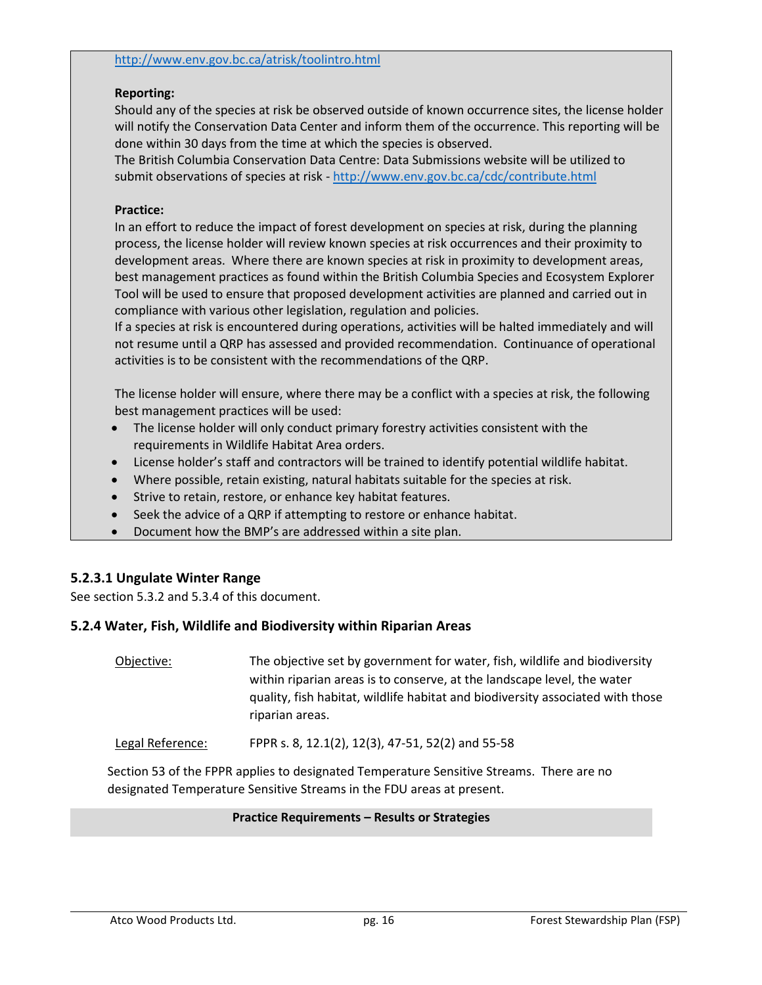#### http://www.env.gov.bc.ca/atrisk/toolintro.html

#### **Reporting:**

Should any of the species at risk be observed outside of known occurrence sites, the license holder will notify the Conservation Data Center and inform them of the occurrence. This reporting will be done within 30 days from the time at which the species is observed.

The British Columbia Conservation Data Centre: Data Submissions website will be utilized to submit observations of species at risk - http://www.env.gov.bc.ca/cdc/contribute.html

#### **Practice:**

In an effort to reduce the impact of forest development on species at risk, during the planning process, the license holder will review known species at risk occurrences and their proximity to development areas. Where there are known species at risk in proximity to development areas, best management practices as found within the British Columbia Species and Ecosystem Explorer Tool will be used to ensure that proposed development activities are planned and carried out in compliance with various other legislation, regulation and policies.

If a species at risk is encountered during operations, activities will be halted immediately and will not resume until a QRP has assessed and provided recommendation. Continuance of operational activities is to be consistent with the recommendations of the QRP.

The license holder will ensure, where there may be a conflict with a species at risk, the following best management practices will be used:

- The license holder will only conduct primary forestry activities consistent with the requirements in Wildlife Habitat Area orders.
- License holder's staff and contractors will be trained to identify potential wildlife habitat.
- Where possible, retain existing, natural habitats suitable for the species at risk.
- **Strive to retain, restore, or enhance key habitat features.**
- Seek the advice of a QRP if attempting to restore or enhance habitat.
- Document how the BMP's are addressed within a site plan.

### **5.2.3.1 Ungulate Winter Range**

See section 5.3.2 and 5.3.4 of this document.

### **5.2.4 Water, Fish, Wildlife and Biodiversity within Riparian Areas**

Objective:The objective set by government for water, fish, wildlife and biodiversity within riparian areas is to conserve, at the landscape level, the water quality, fish habitat, wildlife habitat and biodiversity associated with those riparian areas.

Legal Reference:FPPR s. 8, 12.1(2), 12(3), 47-51, 52(2) and 55-58

Section 53 of the FPPR applies to designated Temperature Sensitive Streams. There are no designated Temperature Sensitive Streams in the FDU areas at present.

#### **Practice Requirements – Results or Strategies**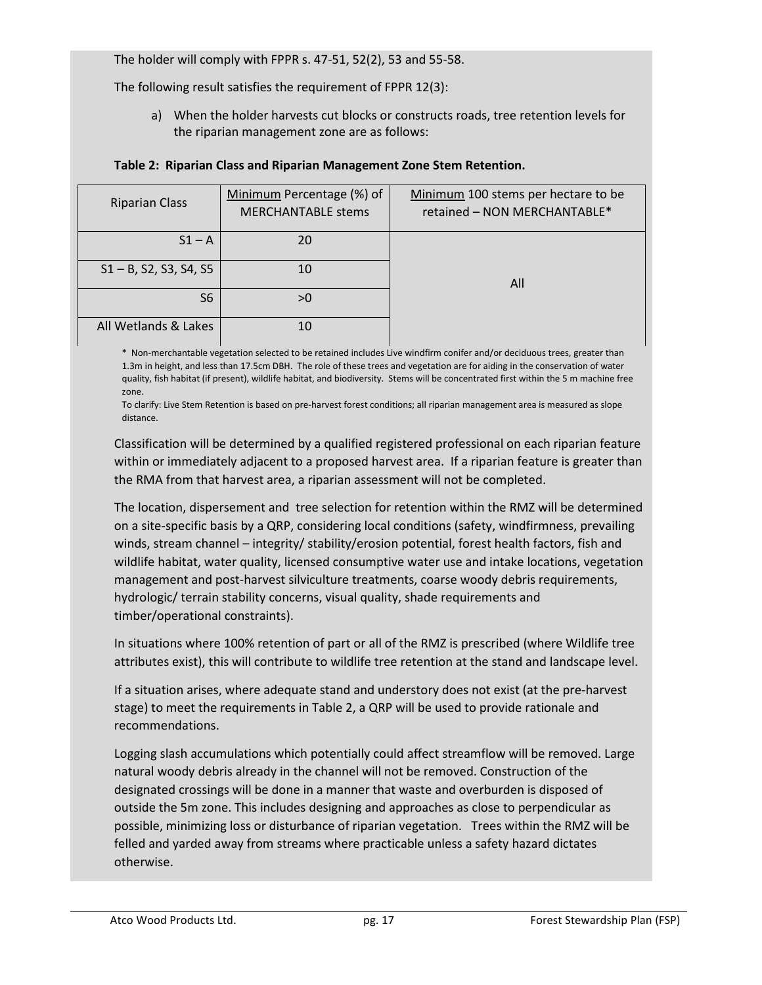The holder will comply with FPPR s. 47-51, 52(2), 53 and 55-58.

The following result satisfies the requirement of FPPR 12(3):

a) When the holder harvests cut blocks or constructs roads, tree retention levels for the riparian management zone are as follows:

| <b>Riparian Class</b>     | Minimum Percentage (%) of<br><b>MERCHANTABLE stems</b> | Minimum 100 stems per hectare to be<br>retained - NON MERCHANTABLE* |
|---------------------------|--------------------------------------------------------|---------------------------------------------------------------------|
| $S1 - A$                  | 20                                                     |                                                                     |
| $S1 - B$ , S2, S3, S4, S5 | 10                                                     | All                                                                 |
| S <sub>6</sub>            | >0                                                     |                                                                     |
| All Wetlands & Lakes      | 10                                                     |                                                                     |

#### **Table 2: Riparian Class and Riparian Management Zone Stem Retention.**

\* Non-merchantable vegetation selected to be retained includes Live windfirm conifer and/or deciduous trees, greater than 1.3m in height, and less than 17.5cm DBH. The role of these trees and vegetation are for aiding in the conservation of water quality, fish habitat (if present), wildlife habitat, and biodiversity. Stems will be concentrated first within the 5 m machine free zone.

To clarify: Live Stem Retention is based on pre-harvest forest conditions; all riparian management area is measured as slope distance.

Classification will be determined by a qualified registered professional on each riparian feature within or immediately adjacent to a proposed harvest area. If a riparian feature is greater than the RMA from that harvest area, a riparian assessment will not be completed.

The location, dispersement and tree selection for retention within the RMZ will be determined on a site-specific basis by a QRP, considering local conditions (safety, windfirmness, prevailing winds, stream channel – integrity/ stability/erosion potential, forest health factors, fish and wildlife habitat, water quality, licensed consumptive water use and intake locations, vegetation management and post-harvest silviculture treatments, coarse woody debris requirements, hydrologic/ terrain stability concerns, visual quality, shade requirements and timber/operational constraints).

In situations where 100% retention of part or all of the RMZ is prescribed (where Wildlife tree attributes exist), this will contribute to wildlife tree retention at the stand and landscape level.

If a situation arises, where adequate stand and understory does not exist (at the pre-harvest stage) to meet the requirements in Table 2, a QRP will be used to provide rationale and recommendations.

Logging slash accumulations which potentially could affect streamflow will be removed. Large natural woody debris already in the channel will not be removed. Construction of the designated crossings will be done in a manner that waste and overburden is disposed of outside the 5m zone. This includes designing and approaches as close to perpendicular as possible, minimizing loss or disturbance of riparian vegetation. Trees within the RMZ will be felled and yarded away from streams where practicable unless a safety hazard dictates otherwise.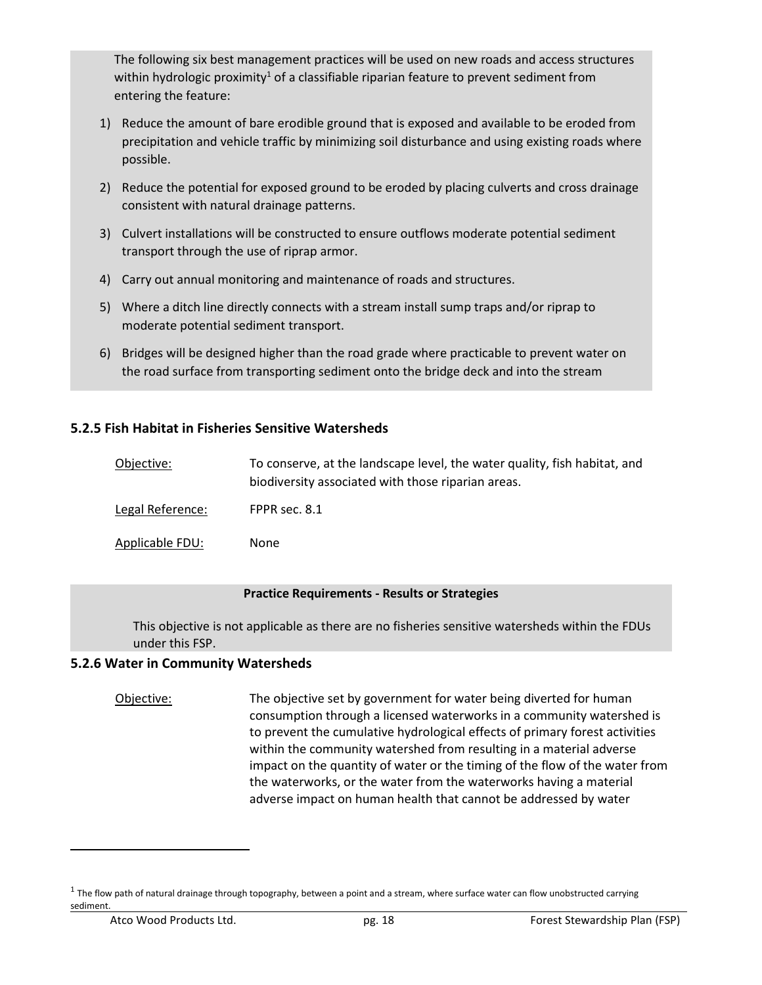The following six best management practices will be used on new roads and access structures within hydrologic proximity<sup>1</sup> of a classifiable riparian feature to prevent sediment from entering the feature:

- 1) Reduce the amount of bare erodible ground that is exposed and available to be eroded from precipitation and vehicle traffic by minimizing soil disturbance and using existing roads where possible.
- 2) Reduce the potential for exposed ground to be eroded by placing culverts and cross drainage consistent with natural drainage patterns.
- 3) Culvert installations will be constructed to ensure outflows moderate potential sediment transport through the use of riprap armor.
- 4) Carry out annual monitoring and maintenance of roads and structures.
- 5) Where a ditch line directly connects with a stream install sump traps and/or riprap to moderate potential sediment transport.
- 6) Bridges will be designed higher than the road grade where practicable to prevent water on the road surface from transporting sediment onto the bridge deck and into the stream

## **5.2.5 Fish Habitat in Fisheries Sensitive Watersheds**

| Objective:       | To conserve, at the landscape level, the water quality, fish habitat, and<br>biodiversity associated with those riparian areas. |
|------------------|---------------------------------------------------------------------------------------------------------------------------------|
| Legal Reference: | FPPR sec. 8.1                                                                                                                   |
| Applicable FDU:  | None                                                                                                                            |

#### **Practice Requirements - Results or Strategies**

This objective is not applicable as there are no fisheries sensitive watersheds within the FDUs under this FSP.

### **5.2.6 Water in Community Watersheds**

Objective:The objective set by government for water being diverted for human consumption through a licensed waterworks in a community watershed is to prevent the cumulative hydrological effects of primary forest activities within the community watershed from resulting in a material adverse impact on the quantity of water or the timing of the flow of the water from the waterworks, or the water from the waterworks having a material adverse impact on human health that cannot be addressed by water

<sup>&</sup>lt;sup>1</sup> The flow path of natural drainage through topography, between a point and a stream, where surface water can flow unobstructed carrying sediment.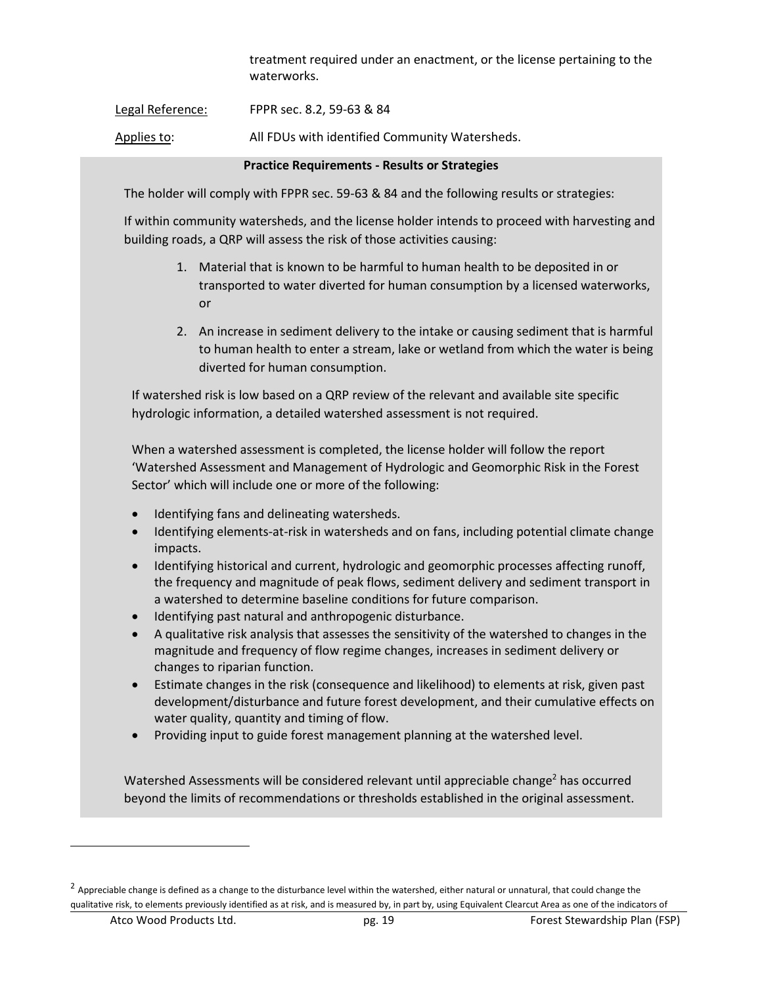treatment required under an enactment, or the license pertaining to the waterworks.

Legal Reference: FPPR sec. 8.2, 59-63 & 84

Applies to: All FDUs with identified Community Watersheds.

#### **Practice Requirements - Results or Strategies**

The holder will comply with FPPR sec. 59-63 & 84 and the following results or strategies:

If within community watersheds, and the license holder intends to proceed with harvesting and building roads, a QRP will assess the risk of those activities causing:

- 1. Material that is known to be harmful to human health to be deposited in or transported to water diverted for human consumption by a licensed waterworks, or
- 2. An increase in sediment delivery to the intake or causing sediment that is harmful to human health to enter a stream, lake or wetland from which the water is being diverted for human consumption.

If watershed risk is low based on a QRP review of the relevant and available site specific hydrologic information, a detailed watershed assessment is not required.

When a watershed assessment is completed, the license holder will follow the report 'Watershed Assessment and Management of Hydrologic and Geomorphic Risk in the Forest Sector' which will include one or more of the following:

- Identifying fans and delineating watersheds.
- Identifying elements-at-risk in watersheds and on fans, including potential climate change impacts.
- Identifying historical and current, hydrologic and geomorphic processes affecting runoff, the frequency and magnitude of peak flows, sediment delivery and sediment transport in a watershed to determine baseline conditions for future comparison.
- Identifying past natural and anthropogenic disturbance.
- A qualitative risk analysis that assesses the sensitivity of the watershed to changes in the magnitude and frequency of flow regime changes, increases in sediment delivery or changes to riparian function.
- Estimate changes in the risk (consequence and likelihood) to elements at risk, given past development/disturbance and future forest development, and their cumulative effects on water quality, quantity and timing of flow.
- Providing input to guide forest management planning at the watershed level.

Watershed Assessments will be considered relevant until appreciable change<sup>2</sup> has occurred beyond the limits of recommendations or thresholds established in the original assessment.

 $^2$  Appreciable change is defined as a change to the disturbance level within the watershed, either natural or unnatural, that could change the qualitative risk, to elements previously identified as at risk, and is measured by, in part by, using Equivalent Clearcut Area as one of the indicators of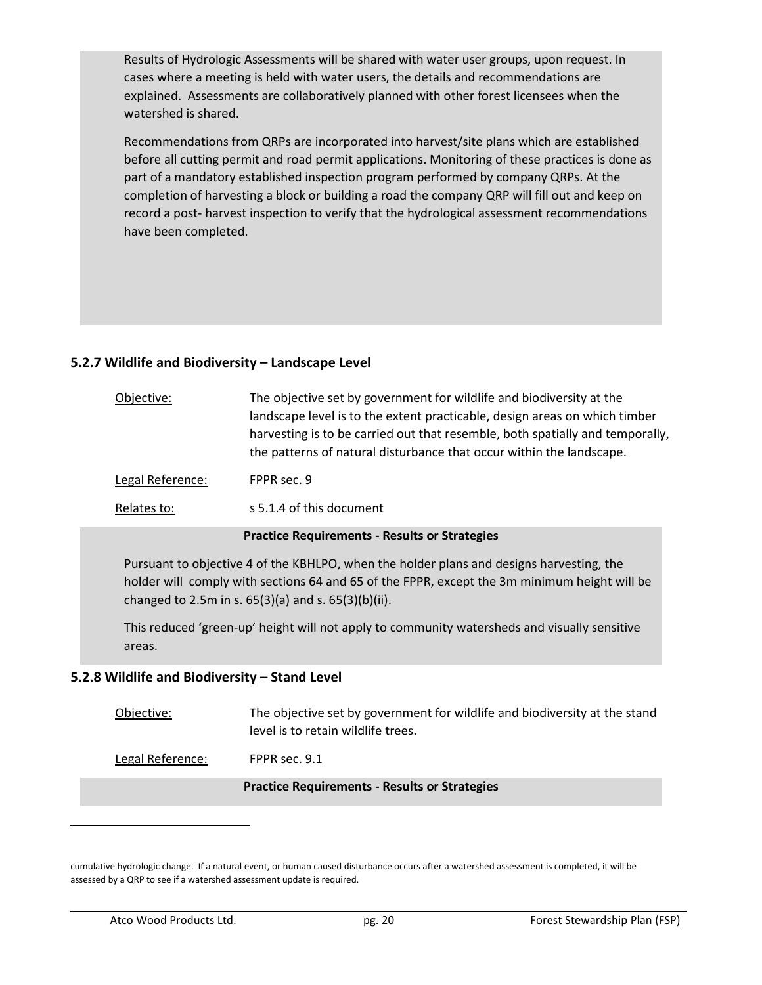Results of Hydrologic Assessments will be shared with water user groups, upon request. In cases where a meeting is held with water users, the details and recommendations are explained. Assessments are collaboratively planned with other forest licensees when the watershed is shared.

Recommendations from QRPs are incorporated into harvest/site plans which are established before all cutting permit and road permit applications. Monitoring of these practices is done as part of a mandatory established inspection program performed by company QRPs. At the completion of harvesting a block or building a road the company QRP will fill out and keep on record a post- harvest inspection to verify that the hydrological assessment recommendations have been completed.

## **5.2.7 Wildlife and Biodiversity – Landscape Level**

| Objective:       | The objective set by government for wildlife and biodiversity at the<br>landscape level is to the extent practicable, design areas on which timber<br>harvesting is to be carried out that resemble, both spatially and temporally,<br>the patterns of natural disturbance that occur within the landscape. |
|------------------|-------------------------------------------------------------------------------------------------------------------------------------------------------------------------------------------------------------------------------------------------------------------------------------------------------------|
| Legal Reference: | FPPR sec. 9                                                                                                                                                                                                                                                                                                 |
| Relates to:      | s 5.1.4 of this document                                                                                                                                                                                                                                                                                    |

#### **Practice Requirements - Results or Strategies**

Pursuant to objective 4 of the KBHLPO, when the holder plans and designs harvesting, the holder will comply with sections 64 and 65 of the FPPR, except the 3m minimum height will be changed to 2.5m in s. 65(3)(a) and s. 65(3)(b)(ii).

This reduced 'green-up' height will not apply to community watersheds and visually sensitive areas.

### **5.2.8 Wildlife and Biodiversity – Stand Level**

Objective:The objective set by government for wildlife and biodiversity at the stand level is to retain wildlife trees.

Legal Reference:FPPR sec. 9.1

#### **Practice Requirements - Results or Strategies**

cumulative hydrologic change. If a natural event, or human caused disturbance occurs after a watershed assessment is completed, it will be assessed by a QRP to see if a watershed assessment update is required.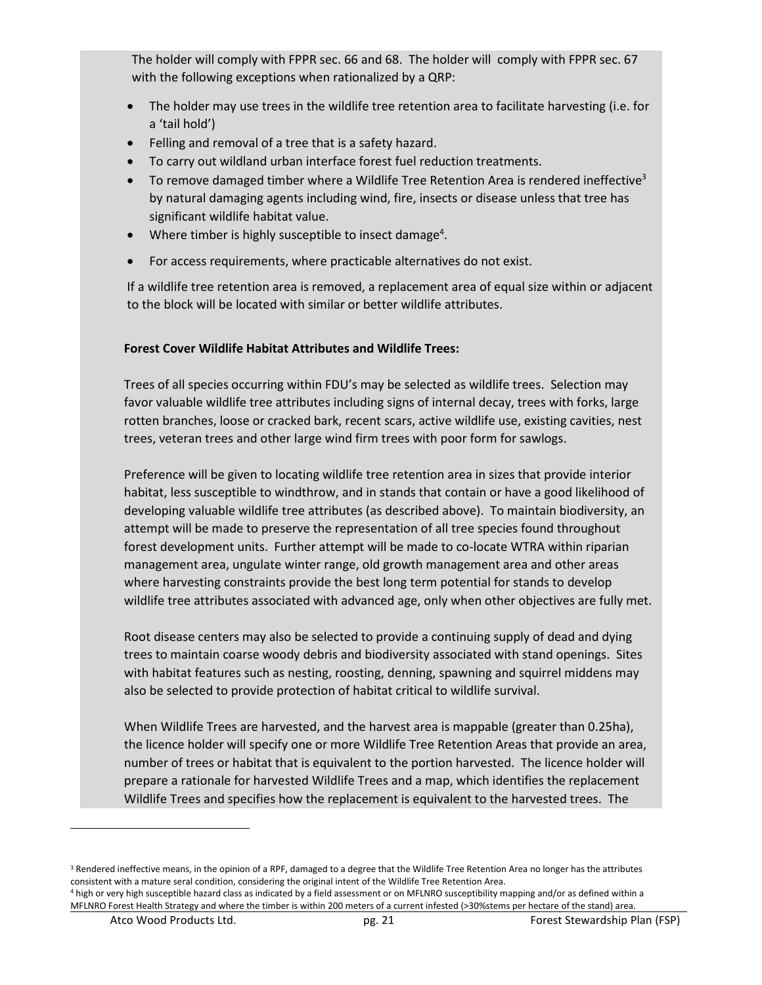The holder will comply with FPPR sec. 66 and 68. The holder will comply with FPPR sec. 67 with the following exceptions when rationalized by a QRP:

- The holder may use trees in the wildlife tree retention area to facilitate harvesting (i.e. for a 'tail hold')
- Felling and removal of a tree that is a safety hazard.
- To carry out wildland urban interface forest fuel reduction treatments.
- To remove damaged timber where a Wildlife Tree Retention Area is rendered ineffective<sup>3</sup> by natural damaging agents including wind, fire, insects or disease unless that tree has significant wildlife habitat value.
- $\bullet$  Where timber is highly susceptible to insect damage<sup>4</sup>.
- For access requirements, where practicable alternatives do not exist.

If a wildlife tree retention area is removed, a replacement area of equal size within or adjacent to the block will be located with similar or better wildlife attributes.

## **Forest Cover Wildlife Habitat Attributes and Wildlife Trees:**

Trees of all species occurring within FDU's may be selected as wildlife trees. Selection may favor valuable wildlife tree attributes including signs of internal decay, trees with forks, large rotten branches, loose or cracked bark, recent scars, active wildlife use, existing cavities, nest trees, veteran trees and other large wind firm trees with poor form for sawlogs.

Preference will be given to locating wildlife tree retention area in sizes that provide interior habitat, less susceptible to windthrow, and in stands that contain or have a good likelihood of developing valuable wildlife tree attributes (as described above). To maintain biodiversity, an attempt will be made to preserve the representation of all tree species found throughout forest development units. Further attempt will be made to co-locate WTRA within riparian management area, ungulate winter range, old growth management area and other areas where harvesting constraints provide the best long term potential for stands to develop wildlife tree attributes associated with advanced age, only when other objectives are fully met.

Root disease centers may also be selected to provide a continuing supply of dead and dying trees to maintain coarse woody debris and biodiversity associated with stand openings. Sites with habitat features such as nesting, roosting, denning, spawning and squirrel middens may also be selected to provide protection of habitat critical to wildlife survival.

When Wildlife Trees are harvested, and the harvest area is mappable (greater than 0.25ha), the licence holder will specify one or more Wildlife Tree Retention Areas that provide an area, number of trees or habitat that is equivalent to the portion harvested. The licence holder will prepare a rationale for harvested Wildlife Trees and a map, which identifies the replacement Wildlife Trees and specifies how the replacement is equivalent to the harvested trees. The

<sup>&</sup>lt;sup>3</sup> Rendered ineffective means, in the opinion of a RPF, damaged to a degree that the Wildlife Tree Retention Area no longer has the attributes consistent with a mature seral condition, considering the original intent of the Wildlife Tree Retention Area.

<sup>4</sup> high or very high susceptible hazard class as indicated by a field assessment or on MFLNRO susceptibility mapping and/or as defined within a MFLNRO Forest Health Strategy and where the timber is within 200 meters of a current infested (>30%stems per hectare of the stand) area.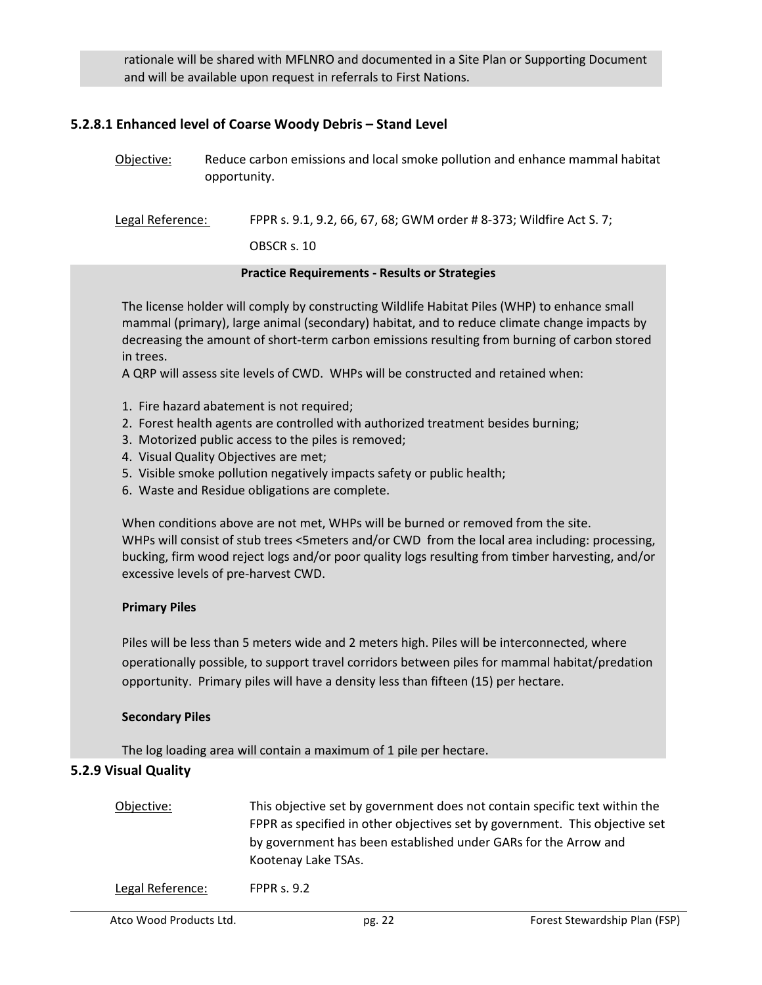rationale will be shared with MFLNRO and documented in a Site Plan or Supporting Document and will be available upon request in referrals to First Nations.

#### **5.2.8.1 Enhanced level of Coarse Woody Debris – Stand Level**

Objective: Reduce carbon emissions and local smoke pollution and enhance mammal habitat opportunity.

Legal Reference: FPPR s. 9.1, 9.2, 66, 67, 68; GWM order # 8-373; Wildfire Act S. 7;

OBSCR s. 10

#### **Practice Requirements - Results or Strategies**

The license holder will comply by constructing Wildlife Habitat Piles (WHP) to enhance small mammal (primary), large animal (secondary) habitat, and to reduce climate change impacts by decreasing the amount of short-term carbon emissions resulting from burning of carbon stored in trees.

A QRP will assess site levels of CWD. WHPs will be constructed and retained when:

- 1. Fire hazard abatement is not required;
- 2. Forest health agents are controlled with authorized treatment besides burning;
- 3. Motorized public access to the piles is removed;
- 4. Visual Quality Objectives are met;
- 5. Visible smoke pollution negatively impacts safety or public health;
- 6. Waste and Residue obligations are complete.

When conditions above are not met, WHPs will be burned or removed from the site. WHPs will consist of stub trees <5meters and/or CWD from the local area including: processing, bucking, firm wood reject logs and/or poor quality logs resulting from timber harvesting, and/or excessive levels of pre-harvest CWD.

#### **Primary Piles**

Piles will be less than 5 meters wide and 2 meters high. Piles will be interconnected, where operationally possible, to support travel corridors between piles for mammal habitat/predation opportunity. Primary piles will have a density less than fifteen (15) per hectare.

#### **Secondary Piles**

The log loading area will contain a maximum of 1 pile per hectare.

### **5.2.9 Visual Quality**

Objective: This objective set by government does not contain specific text within the FPPR as specified in other objectives set by government. This objective set by government has been established under GARs for the Arrow and Kootenay Lake TSAs.

Legal Reference: FPPR s. 9.2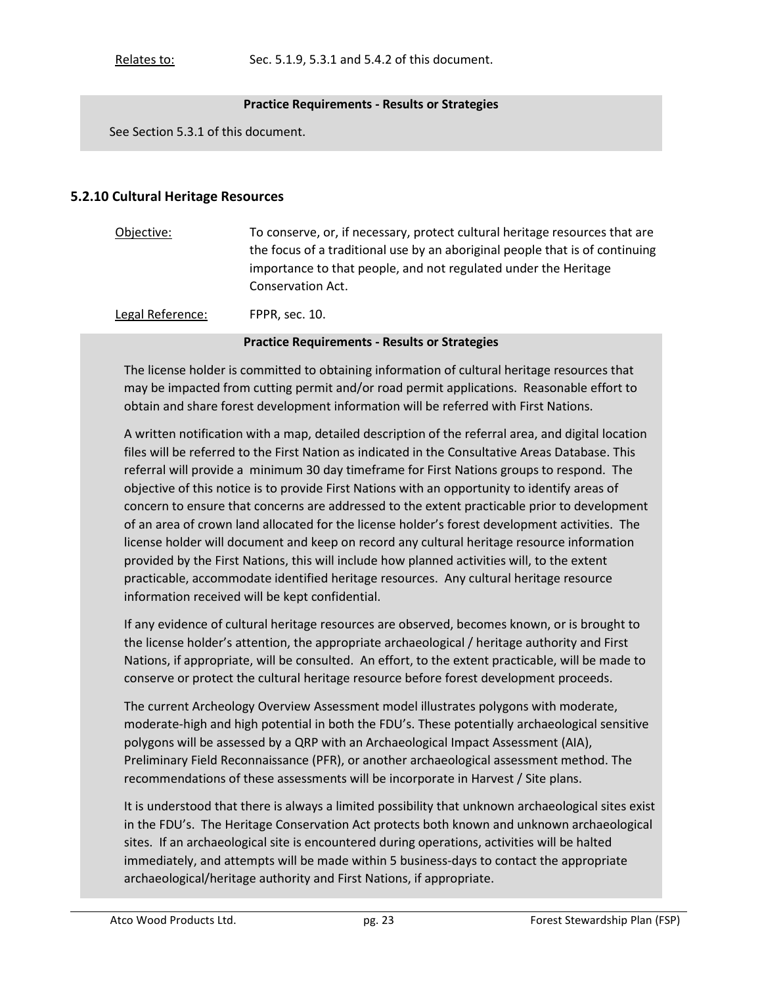#### **Practice Requirements - Results or Strategies**

See Section 5.3.1 of this document.

#### **5.2.10 Cultural Heritage Resources**

| Objective:                                 | To conserve, or, if necessary, protect cultural heritage resources that are  |
|--------------------------------------------|------------------------------------------------------------------------------|
|                                            | the focus of a traditional use by an aboriginal people that is of continuing |
|                                            | importance to that people, and not regulated under the Heritage              |
|                                            | Conservation Act.                                                            |
| <b>I</b> and <b>B</b> defined and <b>i</b> | <b>FRRA</b> 40                                                               |

Legal Reference:FPPR, sec. 10.

#### **Practice Requirements - Results or Strategies**

The license holder is committed to obtaining information of cultural heritage resources that may be impacted from cutting permit and/or road permit applications. Reasonable effort to obtain and share forest development information will be referred with First Nations.

A written notification with a map, detailed description of the referral area, and digital location files will be referred to the First Nation as indicated in the Consultative Areas Database. This referral will provide a minimum 30 day timeframe for First Nations groups to respond. The objective of this notice is to provide First Nations with an opportunity to identify areas of concern to ensure that concerns are addressed to the extent practicable prior to development of an area of crown land allocated for the license holder's forest development activities. The license holder will document and keep on record any cultural heritage resource information provided by the First Nations, this will include how planned activities will, to the extent practicable, accommodate identified heritage resources. Any cultural heritage resource information received will be kept confidential.

If any evidence of cultural heritage resources are observed, becomes known, or is brought to the license holder's attention, the appropriate archaeological / heritage authority and First Nations, if appropriate, will be consulted. An effort, to the extent practicable, will be made to conserve or protect the cultural heritage resource before forest development proceeds.

The current Archeology Overview Assessment model illustrates polygons with moderate, moderate-high and high potential in both the FDU's. These potentially archaeological sensitive polygons will be assessed by a QRP with an Archaeological Impact Assessment (AIA), Preliminary Field Reconnaissance (PFR), or another archaeological assessment method. The recommendations of these assessments will be incorporate in Harvest / Site plans.

It is understood that there is always a limited possibility that unknown archaeological sites exist in the FDU's. The Heritage Conservation Act protects both known and unknown archaeological sites. If an archaeological site is encountered during operations, activities will be halted immediately, and attempts will be made within 5 business-days to contact the appropriate archaeological/heritage authority and First Nations, if appropriate.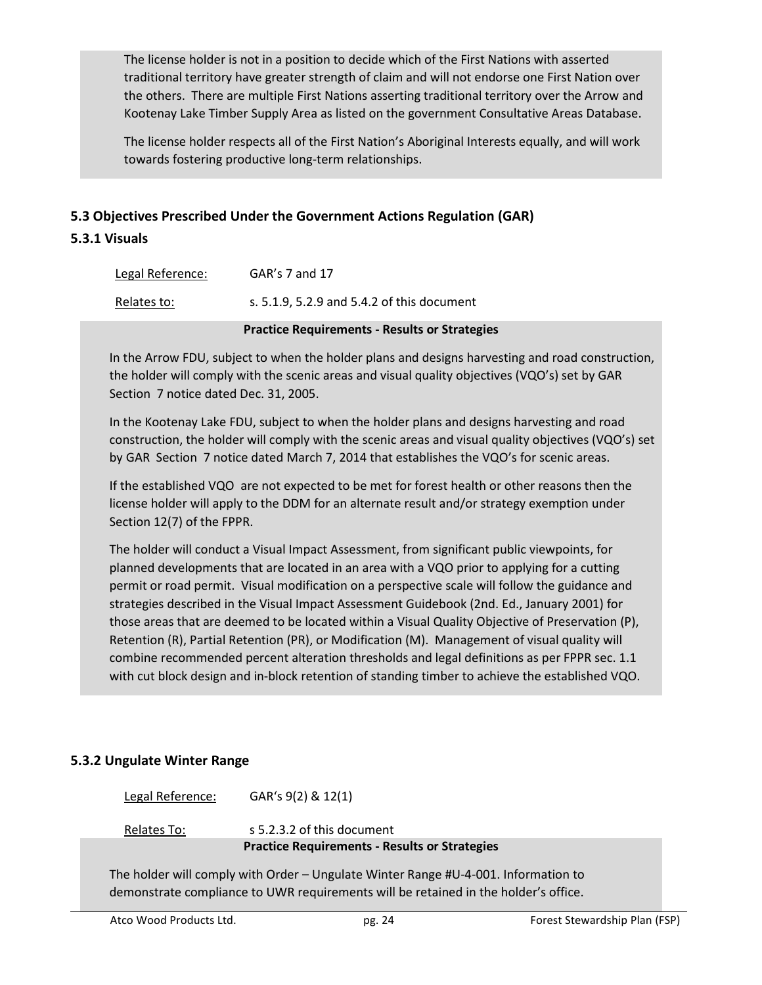The license holder is not in a position to decide which of the First Nations with asserted traditional territory have greater strength of claim and will not endorse one First Nation over the others. There are multiple First Nations asserting traditional territory over the Arrow and Kootenay Lake Timber Supply Area as listed on the government Consultative Areas Database.

The license holder respects all of the First Nation's Aboriginal Interests equally, and will work towards fostering productive long-term relationships.

### **5.3 Objectives Prescribed Under the Government Actions Regulation (GAR)**

#### **5.3.1 Visuals**

| Legal Reference: |  | $GAR's 7$ and 17 |                                            |  |  |  |
|------------------|--|------------------|--------------------------------------------|--|--|--|
| Relates to:      |  |                  | s. 5.1.9, 5.2.9 and 5.4.2 of this document |  |  |  |
|                  |  |                  |                                            |  |  |  |

#### **Practice Requirements - Results or Strategies**

In the Arrow FDU, subject to when the holder plans and designs harvesting and road construction, the holder will comply with the scenic areas and visual quality objectives (VQO's) set by GAR Section 7 notice dated Dec. 31, 2005.

In the Kootenay Lake FDU, subject to when the holder plans and designs harvesting and road construction, the holder will comply with the scenic areas and visual quality objectives (VQO's) set by GAR Section 7 notice dated March 7, 2014 that establishes the VQO's for scenic areas.

If the established VQO are not expected to be met for forest health or other reasons then the license holder will apply to the DDM for an alternate result and/or strategy exemption under Section 12(7) of the FPPR.

The holder will conduct a Visual Impact Assessment, from significant public viewpoints, for planned developments that are located in an area with a VQO prior to applying for a cutting permit or road permit. Visual modification on a perspective scale will follow the guidance and strategies described in the Visual Impact Assessment Guidebook (2nd. Ed., January 2001) for those areas that are deemed to be located within a Visual Quality Objective of Preservation (P), Retention (R), Partial Retention (PR), or Modification (M). Management of visual quality will combine recommended percent alteration thresholds and legal definitions as per FPPR sec. 1.1 with cut block design and in-block retention of standing timber to achieve the established VQO.

#### **5.3.2 Ungulate Winter Range**

Legal Reference: GAR's 9(2) & 12(1)

Relates To: s 5.2.3.2 of this document **Practice Requirements - Results or Strategies**

The holder will comply with Order – Ungulate Winter Range #U-4-001. Information to demonstrate compliance to UWR requirements will be retained in the holder's office.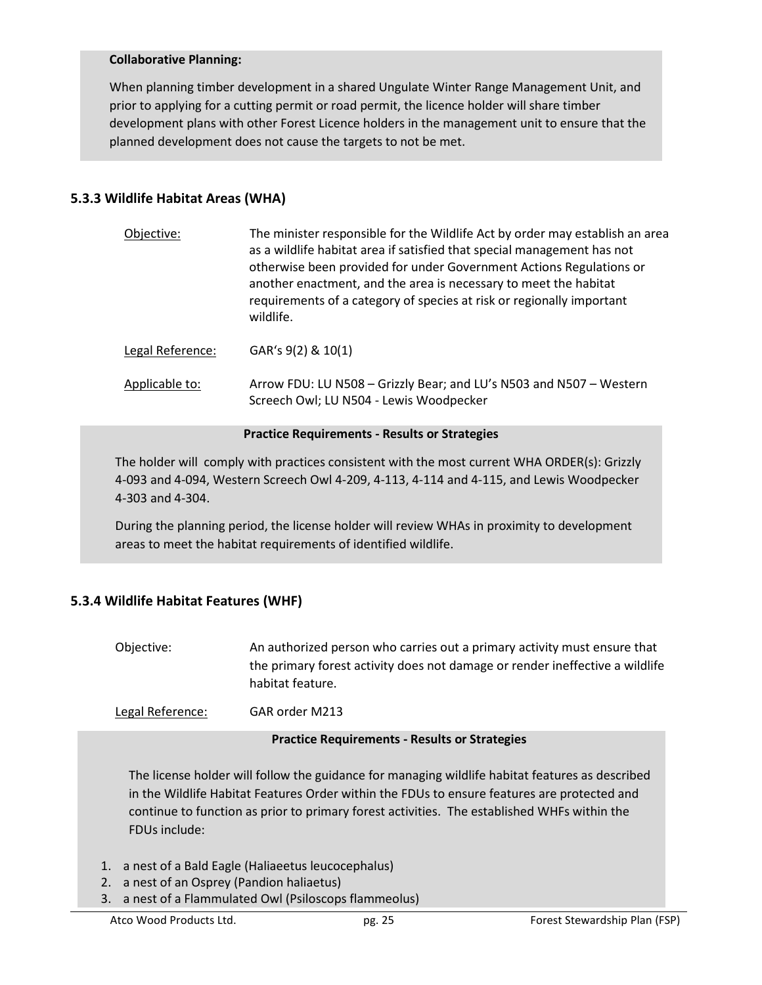#### **Collaborative Planning:**

When planning timber development in a shared Ungulate Winter Range Management Unit, and prior to applying for a cutting permit or road permit, the licence holder will share timber development plans with other Forest Licence holders in the management unit to ensure that the planned development does not cause the targets to not be met.

## **5.3.3 Wildlife Habitat Areas (WHA)**

| Objective:       | The minister responsible for the Wildlife Act by order may establish an area<br>as a wildlife habitat area if satisfied that special management has not<br>otherwise been provided for under Government Actions Regulations or<br>another enactment, and the area is necessary to meet the habitat<br>requirements of a category of species at risk or regionally important<br>wildlife. |
|------------------|------------------------------------------------------------------------------------------------------------------------------------------------------------------------------------------------------------------------------------------------------------------------------------------------------------------------------------------------------------------------------------------|
| Legal Reference: | GAR's 9(2) & 10(1)                                                                                                                                                                                                                                                                                                                                                                       |
| Applicable to:   | Arrow FDU: LU N508 - Grizzly Bear; and LU's N503 and N507 - Western<br>Screech Owl; LU N504 - Lewis Woodpecker                                                                                                                                                                                                                                                                           |

#### **Practice Requirements - Results or Strategies**

The holder will comply with practices consistent with the most current WHA ORDER(s): Grizzly 4-093 and 4-094, Western Screech Owl 4-209, 4-113, 4-114 and 4-115, and Lewis Woodpecker 4-303 and 4-304.

During the planning period, the license holder will review WHAs in proximity to development areas to meet the habitat requirements of identified wildlife.

## **5.3.4 Wildlife Habitat Features (WHF)**

| Objective: | An authorized person who carries out a primary activity must ensure that     |
|------------|------------------------------------------------------------------------------|
|            | the primary forest activity does not damage or render ineffective a wildlife |
|            | habitat feature.                                                             |

Legal Reference: GAR order M213

#### **Practice Requirements - Results or Strategies**

The license holder will follow the guidance for managing wildlife habitat features as described in the Wildlife Habitat Features Order within the FDUs to ensure features are protected and continue to function as prior to primary forest activities. The established WHFs within the FDUs include:

- 1. a nest of a Bald Eagle (Haliaeetus leucocephalus)
- 2. a nest of an Osprey (Pandion haliaetus)
- 3. a nest of a Flammulated Owl (Psiloscops flammeolus)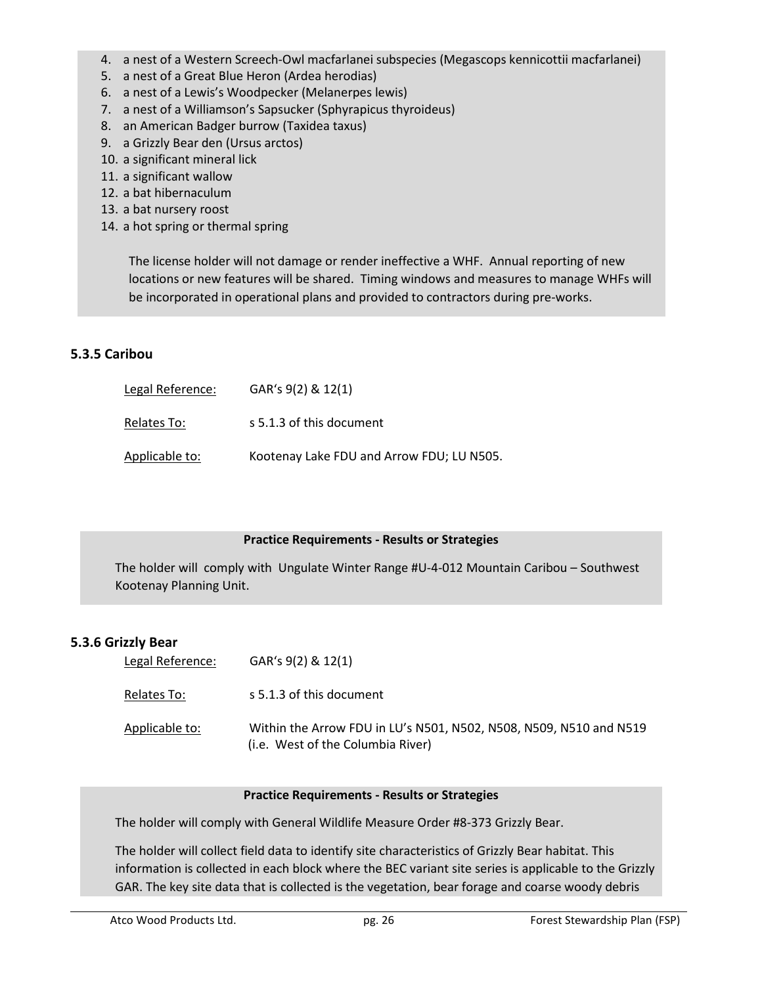- 4. a nest of a Western Screech-Owl macfarlanei subspecies (Megascops kennicottii macfarlanei)
- 5. a nest of a Great Blue Heron (Ardea herodias)
- 6. a nest of a Lewis's Woodpecker (Melanerpes lewis)
- 7. a nest of a Williamson's Sapsucker (Sphyrapicus thyroideus)
- 8. an American Badger burrow (Taxidea taxus)
- 9. a Grizzly Bear den (Ursus arctos)
- 10. a significant mineral lick
- 11. a significant wallow
- 12. a bat hibernaculum
- 13. a bat nursery roost
- 14. a hot spring or thermal spring

The license holder will not damage or render ineffective a WHF. Annual reporting of new locations or new features will be shared. Timing windows and measures to manage WHFs will be incorporated in operational plans and provided to contractors during pre-works.

### **5.3.5 Caribou**

| Legal Reference: | GAR's 9(2) & 12(1)                        |
|------------------|-------------------------------------------|
| Relates To:      | s 5.1.3 of this document                  |
| Applicable to:   | Kootenay Lake FDU and Arrow FDU; LU N505. |

#### **Practice Requirements - Results or Strategies**

The holder will comply with Ungulate Winter Range #U-4-012 Mountain Caribou – Southwest Kootenay Planning Unit.

#### **5.3.6 Grizzly Bear**

| Legal Reference: | GAR's 9(2) & 12(1)                                                                                      |
|------------------|---------------------------------------------------------------------------------------------------------|
| Relates To:      | s 5.1.3 of this document                                                                                |
| Applicable to:   | Within the Arrow FDU in LU's N501, N502, N508, N509, N510 and N519<br>(i.e. West of the Columbia River) |

#### **Practice Requirements - Results or Strategies**

The holder will comply with General Wildlife Measure Order #8-373 Grizzly Bear.

The holder will collect field data to identify site characteristics of Grizzly Bear habitat. This information is collected in each block where the BEC variant site series is applicable to the Grizzly GAR. The key site data that is collected is the vegetation, bear forage and coarse woody debris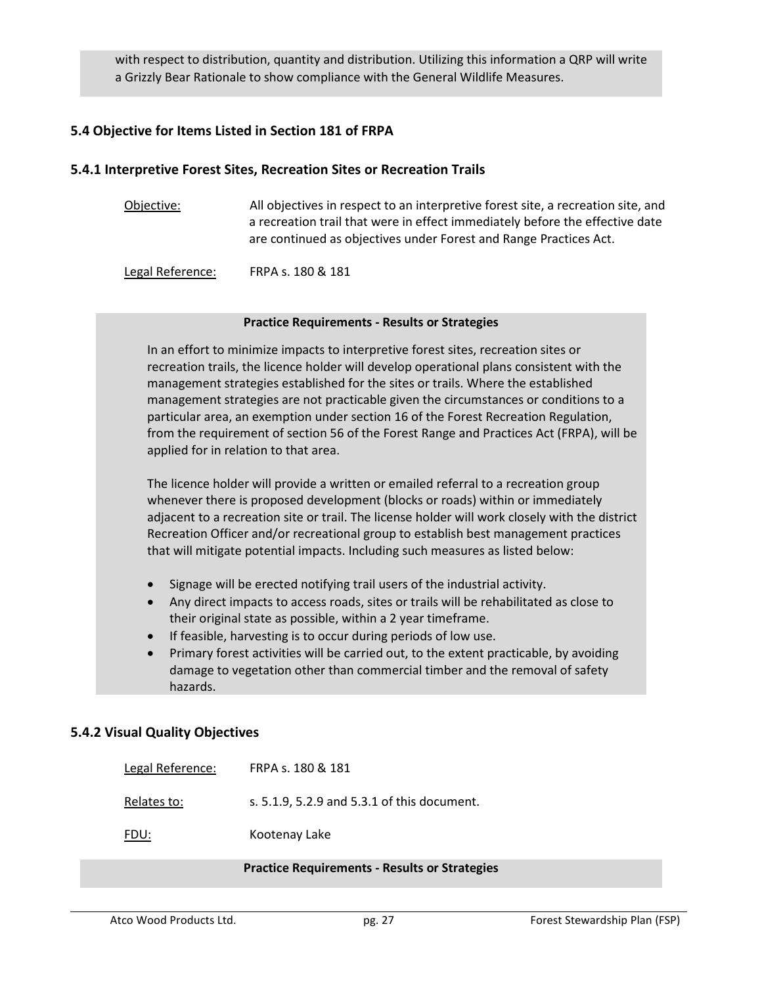with respect to distribution, quantity and distribution. Utilizing this information a QRP will write a Grizzly Bear Rationale to show compliance with the General Wildlife Measures.

### **5.4 Objective for Items Listed in Section 181 of FRPA**

#### **5.4.1 Interpretive Forest Sites, Recreation Sites or Recreation Trails**

| Objective: | All objectives in respect to an interpretive forest site, a recreation site, and |
|------------|----------------------------------------------------------------------------------|
|            | a recreation trail that were in effect immediately before the effective date     |
|            | are continued as objectives under Forest and Range Practices Act.                |
|            |                                                                                  |

Legal Reference: FRPA s. 180 & 181

#### **Practice Requirements - Results or Strategies**

In an effort to minimize impacts to interpretive forest sites, recreation sites or recreation trails, the licence holder will develop operational plans consistent with the management strategies established for the sites or trails. Where the established management strategies are not practicable given the circumstances or conditions to a particular area, an exemption under section 16 of the Forest Recreation Regulation, from the requirement of section 56 of the Forest Range and Practices Act (FRPA), will be applied for in relation to that area.

The licence holder will provide a written or emailed referral to a recreation group whenever there is proposed development (blocks or roads) within or immediately adjacent to a recreation site or trail. The license holder will work closely with the district Recreation Officer and/or recreational group to establish best management practices that will mitigate potential impacts. Including such measures as listed below:

- Signage will be erected notifying trail users of the industrial activity.
- Any direct impacts to access roads, sites or trails will be rehabilitated as close to their original state as possible, within a 2 year timeframe.
- If feasible, harvesting is to occur during periods of low use.
- Primary forest activities will be carried out, to the extent practicable, by avoiding damage to vegetation other than commercial timber and the removal of safety hazards.

### **5.4.2 Visual Quality Objectives**

| Legal Reference: | FRPA s. 180 & 181                           |
|------------------|---------------------------------------------|
| Relates to:      | s. 5.1.9, 5.2.9 and 5.3.1 of this document. |
| FDU:             | Kootenay Lake                               |

#### **Practice Requirements - Results or Strategies**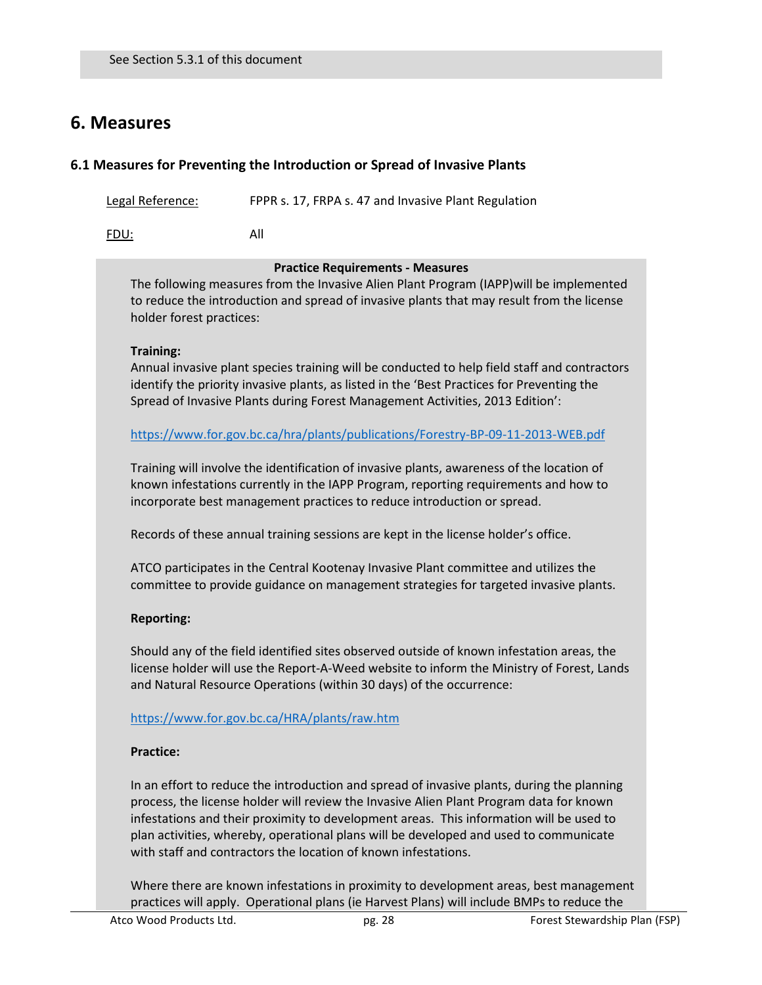## **6. Measures**

### **6.1 Measures for Preventing the Introduction or Spread of Invasive Plants**

Legal Reference: FPPR s. 17, FRPA s. 47 and Invasive Plant Regulation

FDU: All

#### **Practice Requirements - Measures**

The following measures from the Invasive Alien Plant Program (IAPP)will be implemented to reduce the introduction and spread of invasive plants that may result from the license holder forest practices:

#### **Training:**

Annual invasive plant species training will be conducted to help field staff and contractors identify the priority invasive plants, as listed in the 'Best Practices for Preventing the Spread of Invasive Plants during Forest Management Activities, 2013 Edition':

https://www.for.gov.bc.ca/hra/plants/publications/Forestry-BP-09-11-2013-WEB.pdf

Training will involve the identification of invasive plants, awareness of the location of known infestations currently in the IAPP Program, reporting requirements and how to incorporate best management practices to reduce introduction or spread.

Records of these annual training sessions are kept in the license holder's office.

ATCO participates in the Central Kootenay Invasive Plant committee and utilizes the committee to provide guidance on management strategies for targeted invasive plants.

### **Reporting:**

Should any of the field identified sites observed outside of known infestation areas, the license holder will use the Report-A-Weed website to inform the Ministry of Forest, Lands and Natural Resource Operations (within 30 days) of the occurrence:

### https://www.for.gov.bc.ca/HRA/plants/raw.htm

### **Practice:**

In an effort to reduce the introduction and spread of invasive plants, during the planning process, the license holder will review the Invasive Alien Plant Program data for known infestations and their proximity to development areas. This information will be used to plan activities, whereby, operational plans will be developed and used to communicate with staff and contractors the location of known infestations.

Where there are known infestations in proximity to development areas, best management practices will apply. Operational plans (ie Harvest Plans) will include BMPs to reduce the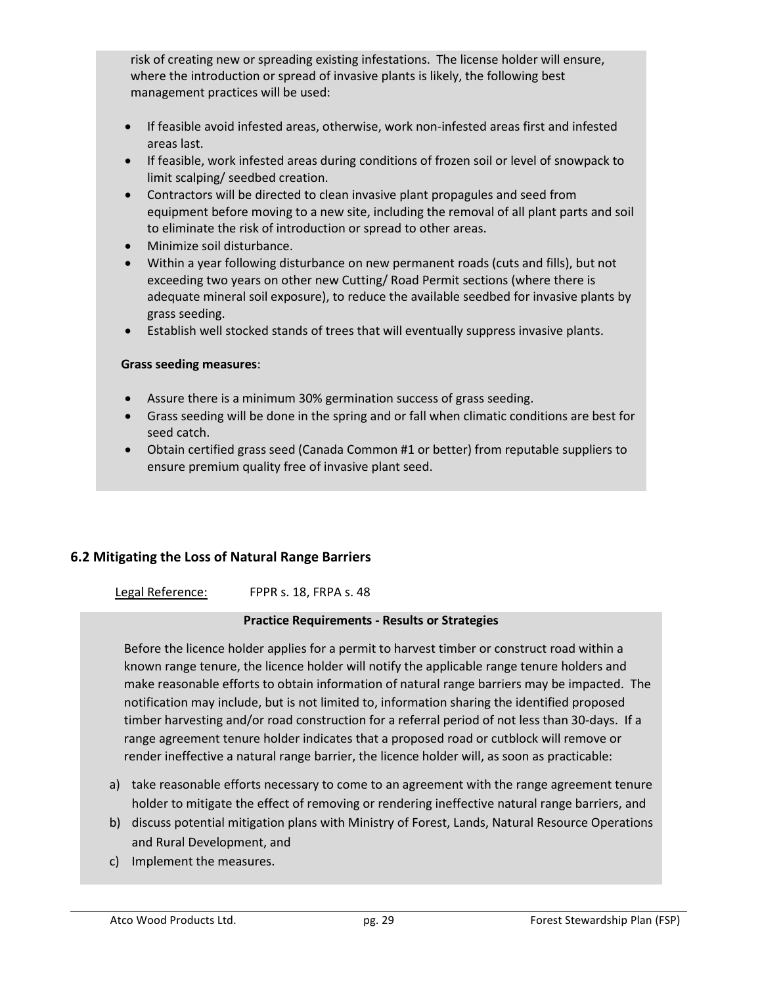risk of creating new or spreading existing infestations. The license holder will ensure, where the introduction or spread of invasive plants is likely, the following best management practices will be used:

- If feasible avoid infested areas, otherwise, work non-infested areas first and infested areas last.
- If feasible, work infested areas during conditions of frozen soil or level of snowpack to limit scalping/ seedbed creation.
- Contractors will be directed to clean invasive plant propagules and seed from equipment before moving to a new site, including the removal of all plant parts and soil to eliminate the risk of introduction or spread to other areas.
- Minimize soil disturbance.
- Within a year following disturbance on new permanent roads (cuts and fills), but not exceeding two years on other new Cutting/ Road Permit sections (where there is adequate mineral soil exposure), to reduce the available seedbed for invasive plants by grass seeding.
- Establish well stocked stands of trees that will eventually suppress invasive plants.

### **Grass seeding measures**:

- Assure there is a minimum 30% germination success of grass seeding.
- Grass seeding will be done in the spring and or fall when climatic conditions are best for seed catch.
- Obtain certified grass seed (Canada Common #1 or better) from reputable suppliers to ensure premium quality free of invasive plant seed.

## **6.2 Mitigating the Loss of Natural Range Barriers**

Legal Reference: FPPR s. 18, FRPA s. 48

### **Practice Requirements - Results or Strategies**

Before the licence holder applies for a permit to harvest timber or construct road within a known range tenure, the licence holder will notify the applicable range tenure holders and make reasonable efforts to obtain information of natural range barriers may be impacted. The notification may include, but is not limited to, information sharing the identified proposed timber harvesting and/or road construction for a referral period of not less than 30-days. If a range agreement tenure holder indicates that a proposed road or cutblock will remove or render ineffective a natural range barrier, the licence holder will, as soon as practicable:

- a) take reasonable efforts necessary to come to an agreement with the range agreement tenure holder to mitigate the effect of removing or rendering ineffective natural range barriers, and
- b) discuss potential mitigation plans with Ministry of Forest, Lands, Natural Resource Operations and Rural Development, and
- c) Implement the measures.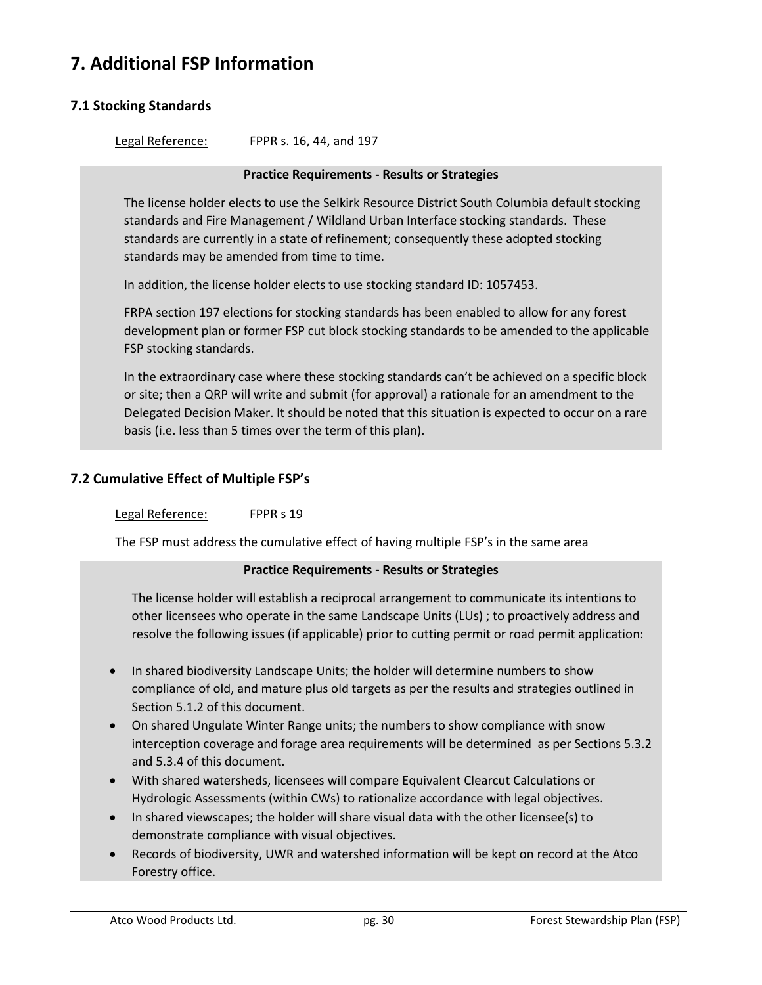## **7. Additional FSP Information**

## **7.1 Stocking Standards**

Legal Reference: FPPR s. 16, 44, and 197

#### **Practice Requirements - Results or Strategies**

The license holder elects to use the Selkirk Resource District South Columbia default stocking standards and Fire Management / Wildland Urban Interface stocking standards. These standards are currently in a state of refinement; consequently these adopted stocking standards may be amended from time to time.

In addition, the license holder elects to use stocking standard ID: 1057453.

FRPA section 197 elections for stocking standards has been enabled to allow for any forest development plan or former FSP cut block stocking standards to be amended to the applicable FSP stocking standards.

In the extraordinary case where these stocking standards can't be achieved on a specific block or site; then a QRP will write and submit (for approval) a rationale for an amendment to the Delegated Decision Maker. It should be noted that this situation is expected to occur on a rare basis (i.e. less than 5 times over the term of this plan).

### **7.2 Cumulative Effect of Multiple FSP's**

#### Legal Reference: FPPR s 19

The FSP must address the cumulative effect of having multiple FSP's in the same area

#### **Practice Requirements - Results or Strategies**

The license holder will establish a reciprocal arrangement to communicate its intentions to other licensees who operate in the same Landscape Units (LUs) ; to proactively address and resolve the following issues (if applicable) prior to cutting permit or road permit application:

- In shared biodiversity Landscape Units; the holder will determine numbers to show compliance of old, and mature plus old targets as per the results and strategies outlined in Section 5.1.2 of this document.
- On shared Ungulate Winter Range units; the numbers to show compliance with snow interception coverage and forage area requirements will be determined as per Sections 5.3.2 and 5.3.4 of this document.
- With shared watersheds, licensees will compare Equivalent Clearcut Calculations or Hydrologic Assessments (within CWs) to rationalize accordance with legal objectives.
- In shared viewscapes; the holder will share visual data with the other licensee(s) to demonstrate compliance with visual objectives.
- Records of biodiversity, UWR and watershed information will be kept on record at the Atco Forestry office.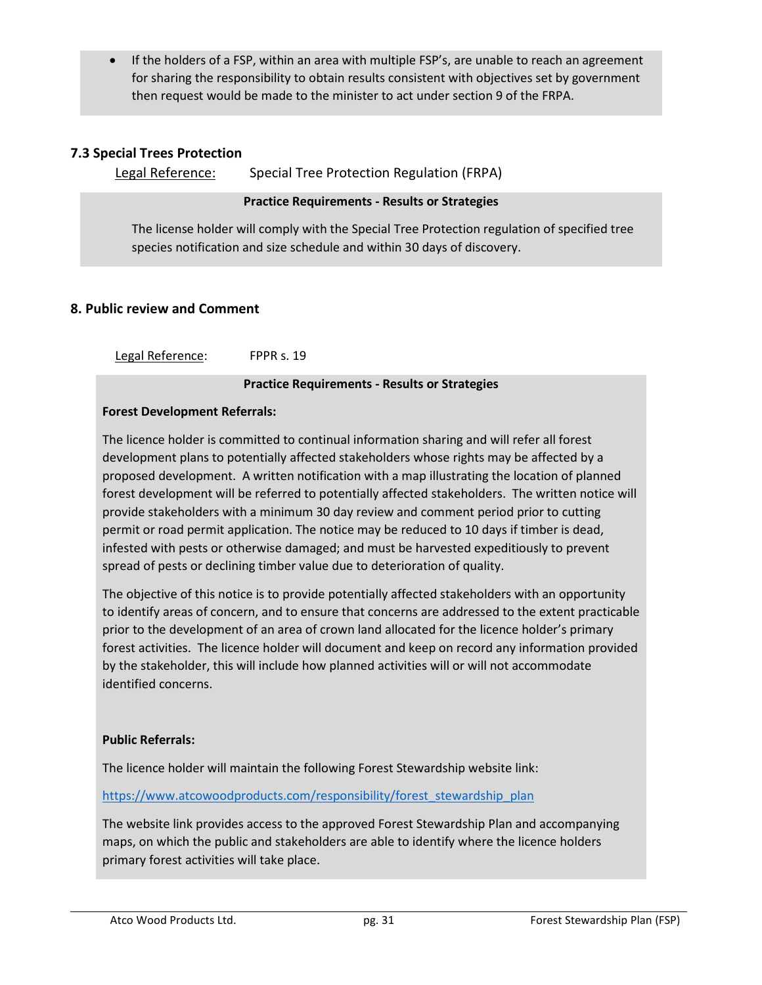If the holders of a FSP, within an area with multiple FSP's, are unable to reach an agreement for sharing the responsibility to obtain results consistent with objectives set by government then request would be made to the minister to act under section 9 of the FRPA.

## **7.3 Special Trees Protection**

```
Legal Reference: Special Tree Protection Regulation (FRPA)
```
#### **Practice Requirements - Results or Strategies**

The license holder will comply with the Special Tree Protection regulation of specified tree species notification and size schedule and within 30 days of discovery.

### **8. Public review and Comment**

Legal Reference: FPPR s. 19

#### **Practice Requirements - Results or Strategies**

#### **Forest Development Referrals:**

The licence holder is committed to continual information sharing and will refer all forest development plans to potentially affected stakeholders whose rights may be affected by a proposed development. A written notification with a map illustrating the location of planned forest development will be referred to potentially affected stakeholders. The written notice will provide stakeholders with a minimum 30 day review and comment period prior to cutting permit or road permit application. The notice may be reduced to 10 days if timber is dead, infested with pests or otherwise damaged; and must be harvested expeditiously to prevent spread of pests or declining timber value due to deterioration of quality.

The objective of this notice is to provide potentially affected stakeholders with an opportunity to identify areas of concern, and to ensure that concerns are addressed to the extent practicable prior to the development of an area of crown land allocated for the licence holder's primary forest activities. The licence holder will document and keep on record any information provided by the stakeholder, this will include how planned activities will or will not accommodate identified concerns.

#### **Public Referrals:**

The licence holder will maintain the following Forest Stewardship website link:

#### https://www.atcowoodproducts.com/responsibility/forest\_stewardship\_plan

The website link provides access to the approved Forest Stewardship Plan and accompanying maps, on which the public and stakeholders are able to identify where the licence holders primary forest activities will take place.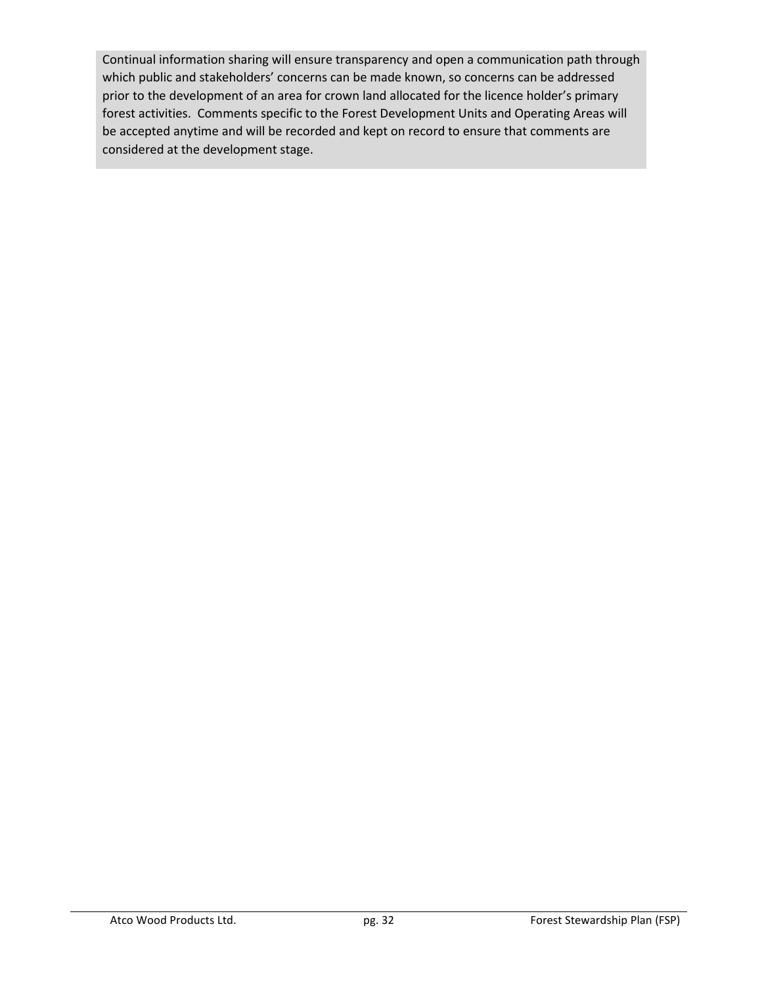Continual information sharing will ensure transparency and open a communication path through which public and stakeholders' concerns can be made known, so concerns can be addressed prior to the development of an area for crown land allocated for the licence holder's primary forest activities. Comments specific to the Forest Development Units and Operating Areas will be accepted anytime and will be recorded and kept on record to ensure that comments are considered at the development stage.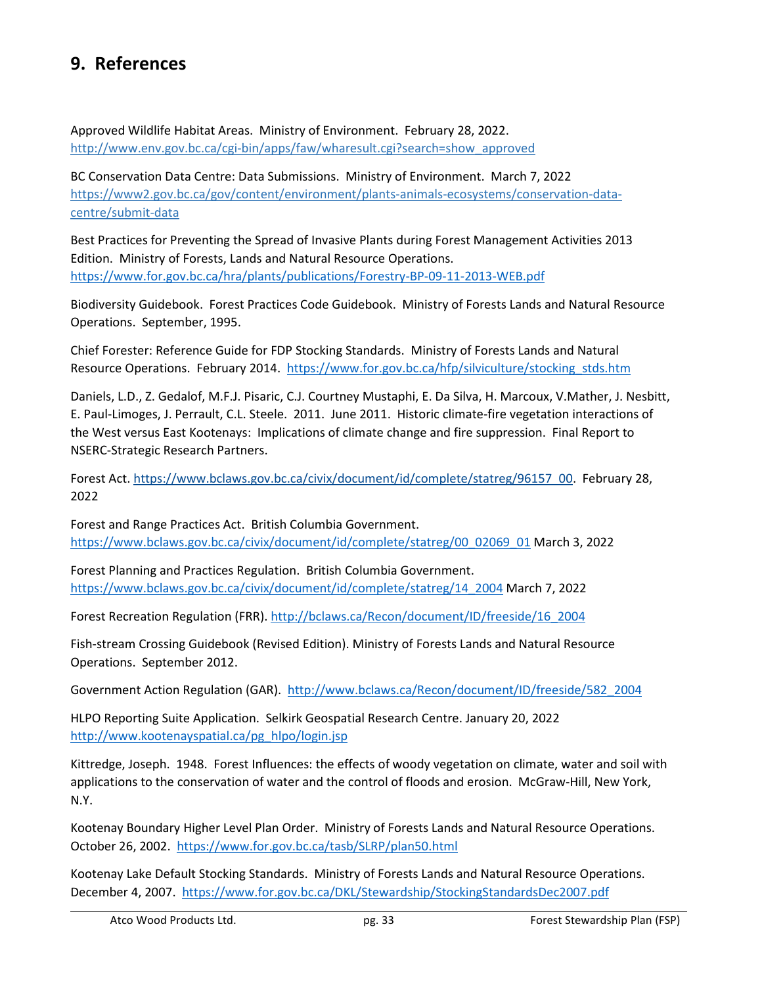## **9. References**

Approved Wildlife Habitat Areas. Ministry of Environment. February 28, 2022. http://www.env.gov.bc.ca/cgi-bin/apps/faw/wharesult.cgi?search=show\_approved

BC Conservation Data Centre: Data Submissions. Ministry of Environment. March 7, 2022 https://www2.gov.bc.ca/gov/content/environment/plants-animals-ecosystems/conservation-datacentre/submit-data

Best Practices for Preventing the Spread of Invasive Plants during Forest Management Activities 2013 Edition. Ministry of Forests, Lands and Natural Resource Operations. https://www.for.gov.bc.ca/hra/plants/publications/Forestry-BP-09-11-2013-WEB.pdf

Biodiversity Guidebook. Forest Practices Code Guidebook. Ministry of Forests Lands and Natural Resource Operations. September, 1995.

Chief Forester: Reference Guide for FDP Stocking Standards. Ministry of Forests Lands and Natural Resource Operations. February 2014. https://www.for.gov.bc.ca/hfp/silviculture/stocking\_stds.htm

Daniels, L.D., Z. Gedalof, M.F.J. Pisaric, C.J. Courtney Mustaphi, E. Da Silva, H. Marcoux, V.Mather, J. Nesbitt, E. Paul-Limoges, J. Perrault, C.L. Steele. 2011. June 2011. Historic climate-fire vegetation interactions of the West versus East Kootenays: Implications of climate change and fire suppression. Final Report to NSERC-Strategic Research Partners.

Forest Act. https://www.bclaws.gov.bc.ca/civix/document/id/complete/statreg/96157\_00. February 28, 2022

Forest and Range Practices Act. British Columbia Government. https://www.bclaws.gov.bc.ca/civix/document/id/complete/statreg/00\_02069\_01 March 3, 2022

Forest Planning and Practices Regulation. British Columbia Government. https://www.bclaws.gov.bc.ca/civix/document/id/complete/statreg/14\_2004 March 7, 2022

Forest Recreation Regulation (FRR). http://bclaws.ca/Recon/document/ID/freeside/16\_2004

Fish-stream Crossing Guidebook (Revised Edition). Ministry of Forests Lands and Natural Resource Operations. September 2012.

Government Action Regulation (GAR). http://www.bclaws.ca/Recon/document/ID/freeside/582\_2004

HLPO Reporting Suite Application. Selkirk Geospatial Research Centre. January 20, 2022 http://www.kootenayspatial.ca/pg\_hlpo/login.jsp

Kittredge, Joseph. 1948. Forest Influences: the effects of woody vegetation on climate, water and soil with applications to the conservation of water and the control of floods and erosion. McGraw-Hill, New York, N.Y.

Kootenay Boundary Higher Level Plan Order. Ministry of Forests Lands and Natural Resource Operations. October 26, 2002. https://www.for.gov.bc.ca/tasb/SLRP/plan50.html

Kootenay Lake Default Stocking Standards. Ministry of Forests Lands and Natural Resource Operations. December 4, 2007. https://www.for.gov.bc.ca/DKL/Stewardship/StockingStandardsDec2007.pdf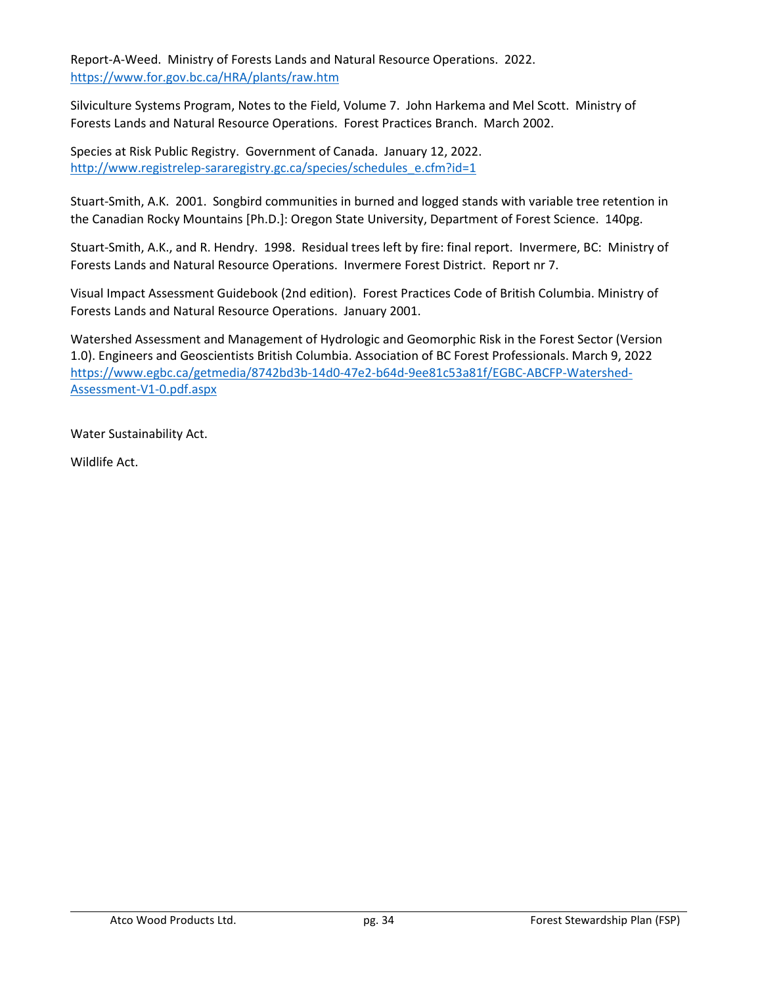Report-A-Weed. Ministry of Forests Lands and Natural Resource Operations. 2022. https://www.for.gov.bc.ca/HRA/plants/raw.htm

Silviculture Systems Program, Notes to the Field, Volume 7. John Harkema and Mel Scott. Ministry of Forests Lands and Natural Resource Operations. Forest Practices Branch. March 2002.

Species at Risk Public Registry. Government of Canada. January 12, 2022. http://www.registrelep-sararegistry.gc.ca/species/schedules\_e.cfm?id=1

Stuart-Smith, A.K. 2001. Songbird communities in burned and logged stands with variable tree retention in the Canadian Rocky Mountains [Ph.D.]: Oregon State University, Department of Forest Science. 140pg.

Stuart-Smith, A.K., and R. Hendry. 1998. Residual trees left by fire: final report. Invermere, BC: Ministry of Forests Lands and Natural Resource Operations. Invermere Forest District. Report nr 7.

Visual Impact Assessment Guidebook (2nd edition). Forest Practices Code of British Columbia. Ministry of Forests Lands and Natural Resource Operations. January 2001.

Watershed Assessment and Management of Hydrologic and Geomorphic Risk in the Forest Sector (Version 1.0). Engineers and Geoscientists British Columbia. Association of BC Forest Professionals. March 9, 2022 https://www.egbc.ca/getmedia/8742bd3b-14d0-47e2-b64d-9ee81c53a81f/EGBC-ABCFP-Watershed-Assessment-V1-0.pdf.aspx

Water Sustainability Act.

Wildlife Act.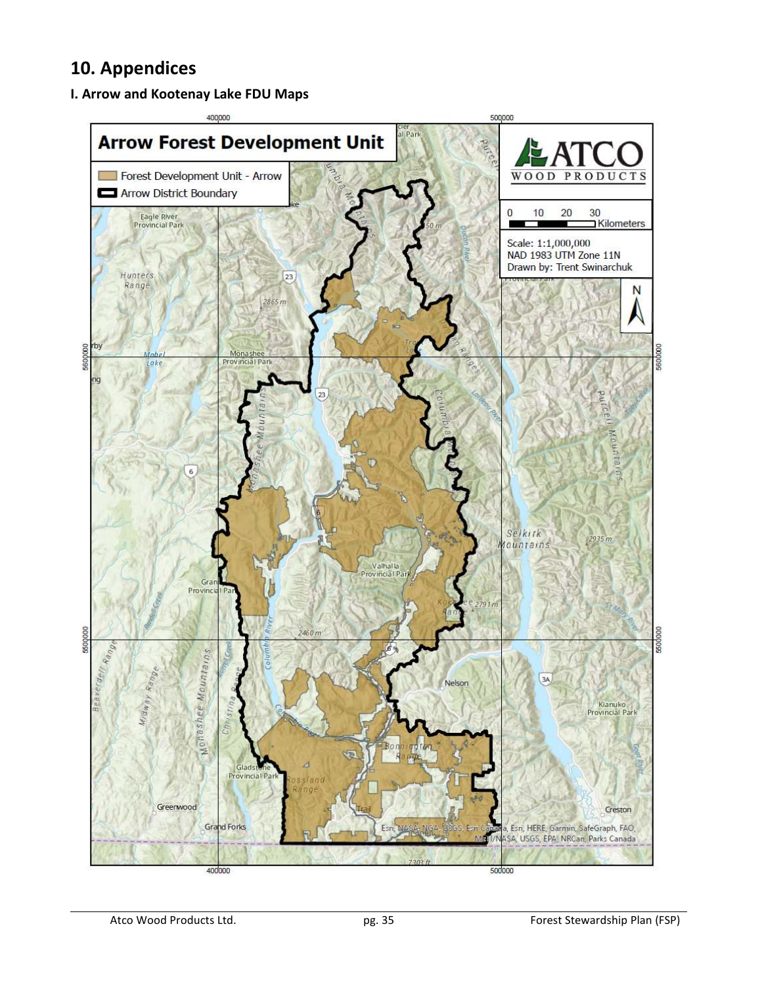## **10. Appendices**

## **I. Arrow and Kootenay Lake FDU Maps**

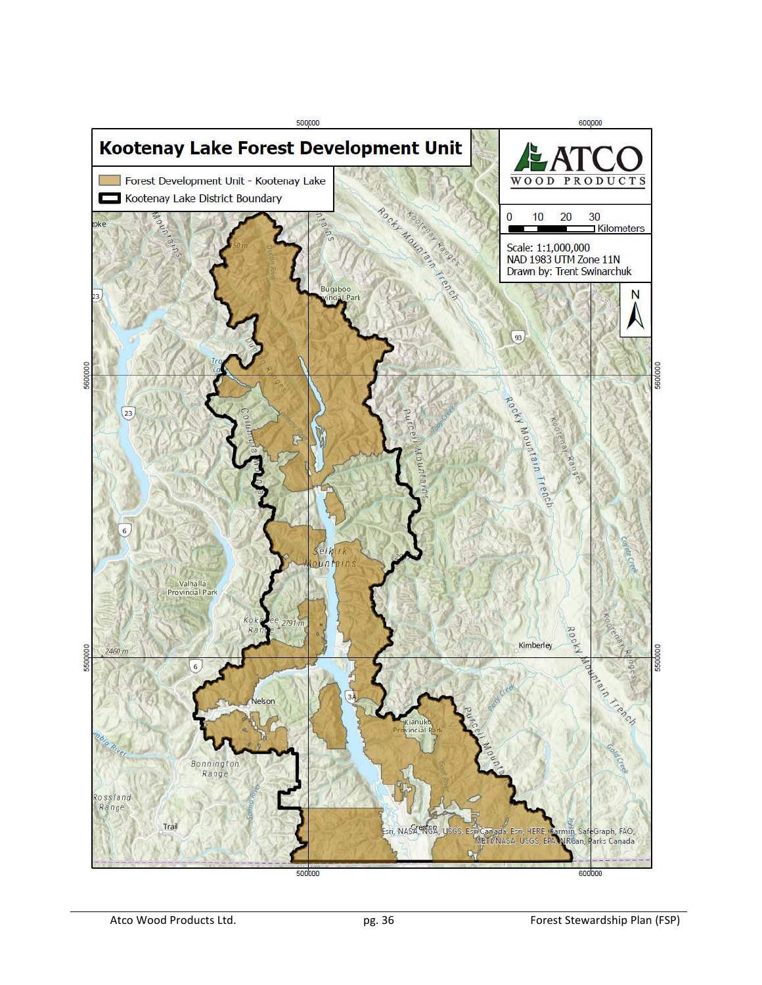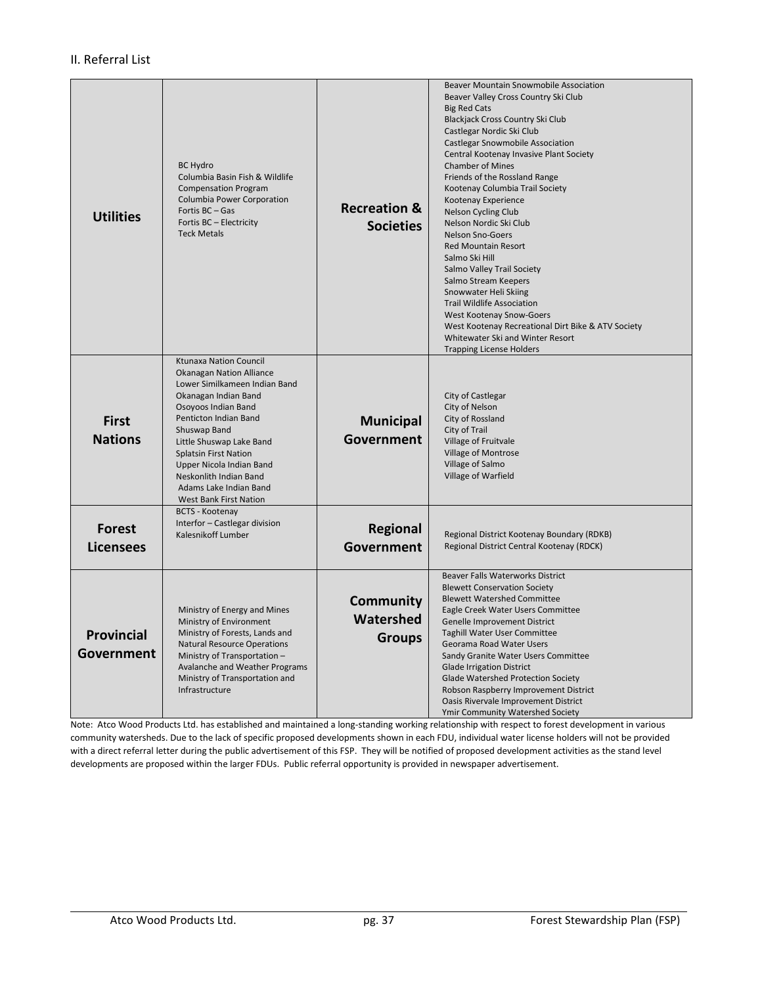#### II. Referral List

| <b>Utilities</b>                  | <b>BC Hydro</b><br>Columbia Basin Fish & Wildlife<br><b>Compensation Program</b><br>Columbia Power Corporation<br>Fortis BC-Gas<br>Fortis BC - Electricity<br><b>Teck Metals</b>                                                                                                                                                                                | <b>Recreation &amp;</b><br><b>Societies</b>    | Beaver Mountain Snowmobile Association<br>Beaver Valley Cross Country Ski Club<br><b>Big Red Cats</b><br>Blackjack Cross Country Ski Club<br>Castlegar Nordic Ski Club<br><b>Castlegar Snowmobile Association</b><br>Central Kootenay Invasive Plant Society<br><b>Chamber of Mines</b><br>Friends of the Rossland Range<br>Kootenay Columbia Trail Society<br>Kootenay Experience<br>Nelson Cycling Club<br>Nelson Nordic Ski Club<br><b>Nelson Sno-Goers</b><br><b>Red Mountain Resort</b><br>Salmo Ski Hill<br>Salmo Valley Trail Society<br>Salmo Stream Keepers<br>Snowwater Heli Skiing<br><b>Trail Wildlife Association</b><br>West Kootenay Snow-Goers<br>West Kootenay Recreational Dirt Bike & ATV Society<br>Whitewater Ski and Winter Resort<br><b>Trapping License Holders</b> |  |
|-----------------------------------|-----------------------------------------------------------------------------------------------------------------------------------------------------------------------------------------------------------------------------------------------------------------------------------------------------------------------------------------------------------------|------------------------------------------------|---------------------------------------------------------------------------------------------------------------------------------------------------------------------------------------------------------------------------------------------------------------------------------------------------------------------------------------------------------------------------------------------------------------------------------------------------------------------------------------------------------------------------------------------------------------------------------------------------------------------------------------------------------------------------------------------------------------------------------------------------------------------------------------------|--|
| <b>First</b><br><b>Nations</b>    | <b>Ktunaxa Nation Council</b><br><b>Okanagan Nation Alliance</b><br>Lower Similkameen Indian Band<br>Okanagan Indian Band<br>Osoyoos Indian Band<br>Penticton Indian Band<br>Shuswap Band<br>Little Shuswap Lake Band<br><b>Splatsin First Nation</b><br>Upper Nicola Indian Band<br>Neskonlith Indian Band<br>Adams Lake Indian Band<br>West Bank First Nation | <b>Municipal</b><br>Government                 | City of Castlegar<br>City of Nelson<br>City of Rossland<br>City of Trail<br>Village of Fruitvale<br><b>Village of Montrose</b><br>Village of Salmo<br>Village of Warfield                                                                                                                                                                                                                                                                                                                                                                                                                                                                                                                                                                                                                   |  |
| <b>Forest</b><br><b>Licensees</b> | <b>BCTS - Kootenay</b><br>Interfor - Castlegar division<br>Kalesnikoff Lumber                                                                                                                                                                                                                                                                                   | <b>Regional</b><br>Government                  | Regional District Kootenay Boundary (RDKB)<br>Regional District Central Kootenay (RDCK)                                                                                                                                                                                                                                                                                                                                                                                                                                                                                                                                                                                                                                                                                                     |  |
| <b>Provincial</b><br>Government   | Ministry of Energy and Mines<br>Ministry of Environment<br>Ministry of Forests, Lands and<br><b>Natural Resource Operations</b><br>Ministry of Transportation -<br>Avalanche and Weather Programs<br>Ministry of Transportation and<br>Infrastructure                                                                                                           | <b>Community</b><br>Watershed<br><b>Groups</b> | Beaver Falls Waterworks District<br><b>Blewett Conservation Society</b><br><b>Blewett Watershed Committee</b><br>Eagle Creek Water Users Committee<br>Genelle Improvement District<br><b>Taghill Water User Committee</b><br>Georama Road Water Users<br>Sandy Granite Water Users Committee<br><b>Glade Irrigation District</b><br><b>Glade Watershed Protection Society</b><br>Robson Raspberry Improvement District<br>Oasis Rivervale Improvement District<br>Ymir Community Watershed Society                                                                                                                                                                                                                                                                                          |  |

Note: Atco Wood Products Ltd. has established and maintained a long-standing working relationship with respect to forest development in various community watersheds. Due to the lack of specific proposed developments shown in each FDU, individual water license holders will not be provided with a direct referral letter during the public advertisement of this FSP. They will be notified of proposed development activities as the stand level developments are proposed within the larger FDUs. Public referral opportunity is provided in newspaper advertisement.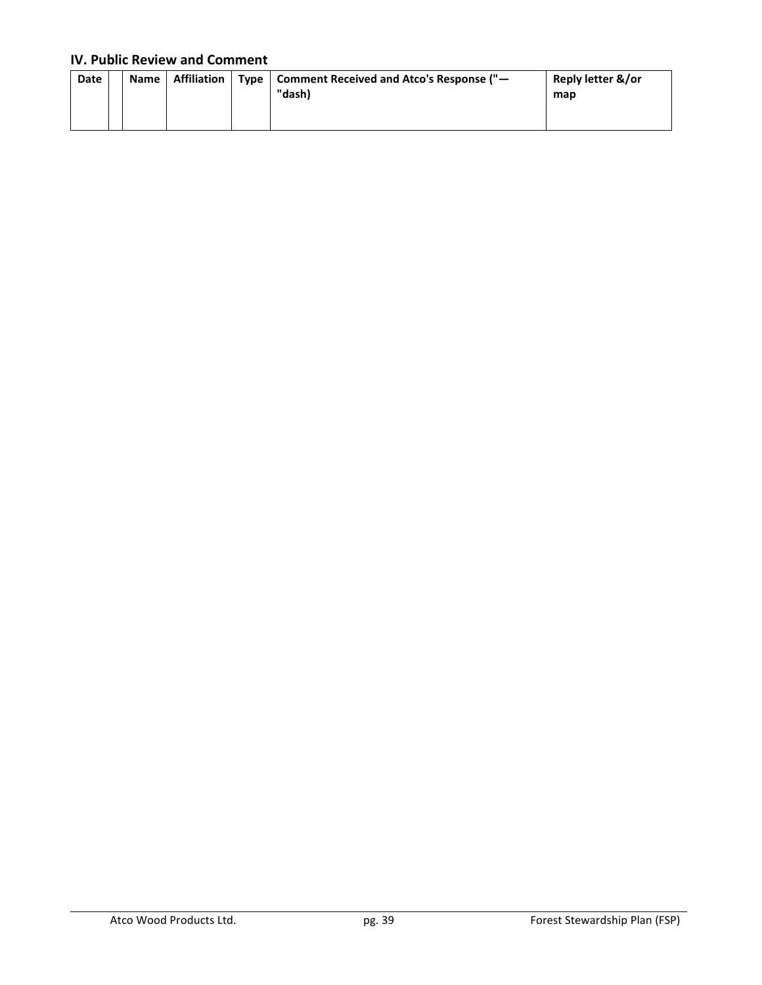### **IV. Public Review and Comment**

| Date | Name | Affiliation |  | Type   Comment Received and Atco's Response ("-<br>"dash) | Reply letter &/or<br>map |
|------|------|-------------|--|-----------------------------------------------------------|--------------------------|
|------|------|-------------|--|-----------------------------------------------------------|--------------------------|